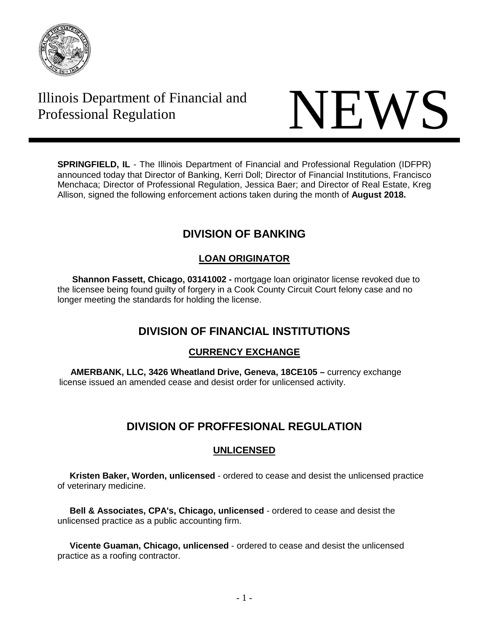

# Illinois Department of Financial and Thinois Department of Financial and<br>Professional Regulation NEWS



**SPRINGFIELD, IL** - The Illinois Department of Financial and Professional Regulation (IDFPR) announced today that Director of Banking, Kerri Doll; Director of Financial Institutions, Francisco Menchaca; Director of Professional Regulation, Jessica Baer; and Director of Real Estate, Kreg Allison, signed the following enforcement actions taken during the month of **August 2018.** 

# **DIVISION OF BANKING**

## **LOAN ORIGINATOR**

 **Shannon Fassett, Chicago, 03141002 -** mortgage loan originator license revoked due to the licensee being found guilty of forgery in a Cook County Circuit Court felony case and no longer meeting the standards for holding the license.

# **DIVISION OF FINANCIAL INSTITUTIONS**

### **CURRENCY EXCHANGE**

 **AMERBANK, LLC, 3426 Wheatland Drive, Geneva, 18CE105 –** currency exchange license issued an amended cease and desist order for unlicensed activity.

# **DIVISION OF PROFFESIONAL REGULATION**

### **UNLICENSED**

 **Kristen Baker, Worden, unlicensed** - ordered to cease and desist the unlicensed practice of veterinary medicine.

 **Bell & Associates, CPA's, Chicago, unlicensed** - ordered to cease and desist the unlicensed practice as a public accounting firm.

 **Vicente Guaman, Chicago, unlicensed** - ordered to cease and desist the unlicensed practice as a roofing contractor.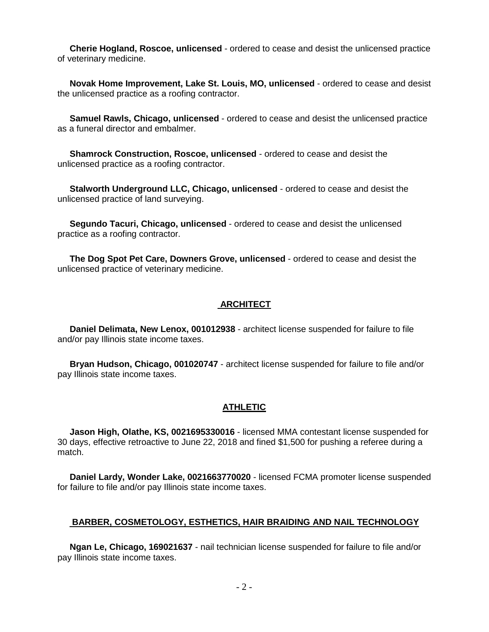**Cherie Hogland, Roscoe, unlicensed** - ordered to cease and desist the unlicensed practice of veterinary medicine.

 **Novak Home Improvement, Lake St. Louis, MO, unlicensed** - ordered to cease and desist the unlicensed practice as a roofing contractor.

 **Samuel Rawls, Chicago, unlicensed** - ordered to cease and desist the unlicensed practice as a funeral director and embalmer.

 **Shamrock Construction, Roscoe, unlicensed** - ordered to cease and desist the unlicensed practice as a roofing contractor.

 **Stalworth Underground LLC, Chicago, unlicensed** - ordered to cease and desist the unlicensed practice of land surveying.

 **Segundo Tacuri, Chicago, unlicensed** - ordered to cease and desist the unlicensed practice as a roofing contractor.

 **The Dog Spot Pet Care, Downers Grove, unlicensed** - ordered to cease and desist the unlicensed practice of veterinary medicine.

#### **ARCHITECT**

 **Daniel Delimata, New Lenox, 001012938** - architect license suspended for failure to file and/or pay Illinois state income taxes.

 **Bryan Hudson, Chicago, 001020747** - architect license suspended for failure to file and/or pay Illinois state income taxes.

#### **ATHLETIC**

 **Jason High, Olathe, KS, 0021695330016** - licensed MMA contestant license suspended for 30 days, effective retroactive to June 22, 2018 and fined \$1,500 for pushing a referee during a match.

 **Daniel Lardy, Wonder Lake, 0021663770020** - licensed FCMA promoter license suspended for failure to file and/or pay Illinois state income taxes.

#### **BARBER, COSMETOLOGY, ESTHETICS, HAIR BRAIDING AND NAIL TECHNOLOGY**

 **Ngan Le, Chicago, 169021637** - nail technician license suspended for failure to file and/or pay Illinois state income taxes.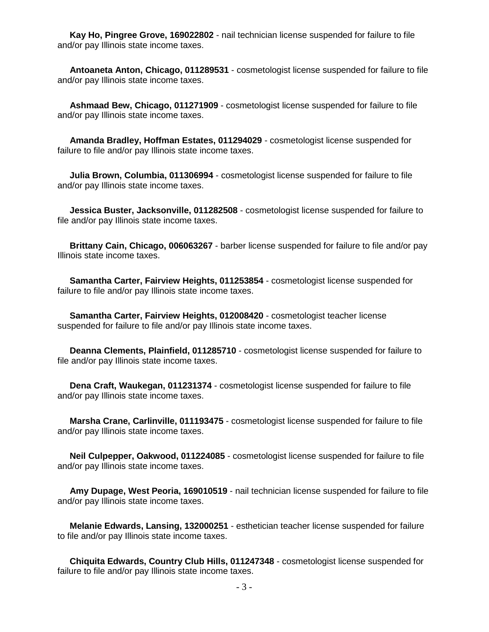**Kay Ho, Pingree Grove, 169022802** - nail technician license suspended for failure to file and/or pay Illinois state income taxes.

 **Antoaneta Anton, Chicago, 011289531** - cosmetologist license suspended for failure to file and/or pay Illinois state income taxes.

 **Ashmaad Bew, Chicago, 011271909** - cosmetologist license suspended for failure to file and/or pay Illinois state income taxes.

 **Amanda Bradley, Hoffman Estates, 011294029** - cosmetologist license suspended for failure to file and/or pay Illinois state income taxes.

 **Julia Brown, Columbia, 011306994** - cosmetologist license suspended for failure to file and/or pay Illinois state income taxes.

 **Jessica Buster, Jacksonville, 011282508** - cosmetologist license suspended for failure to file and/or pay Illinois state income taxes.

 **Brittany Cain, Chicago, 006063267** - barber license suspended for failure to file and/or pay Illinois state income taxes.

 **Samantha Carter, Fairview Heights, 011253854** - cosmetologist license suspended for failure to file and/or pay Illinois state income taxes.

 **Samantha Carter, Fairview Heights, 012008420** - cosmetologist teacher license suspended for failure to file and/or pay Illinois state income taxes.

 **Deanna Clements, Plainfield, 011285710** - cosmetologist license suspended for failure to file and/or pay Illinois state income taxes.

 **Dena Craft, Waukegan, 011231374** - cosmetologist license suspended for failure to file and/or pay Illinois state income taxes.

 **Marsha Crane, Carlinville, 011193475** - cosmetologist license suspended for failure to file and/or pay Illinois state income taxes.

 **Neil Culpepper, Oakwood, 011224085** - cosmetologist license suspended for failure to file and/or pay Illinois state income taxes.

 **Amy Dupage, West Peoria, 169010519** - nail technician license suspended for failure to file and/or pay Illinois state income taxes.

 **Melanie Edwards, Lansing, 132000251** - esthetician teacher license suspended for failure to file and/or pay Illinois state income taxes.

 **Chiquita Edwards, Country Club Hills, 011247348** - cosmetologist license suspended for failure to file and/or pay Illinois state income taxes.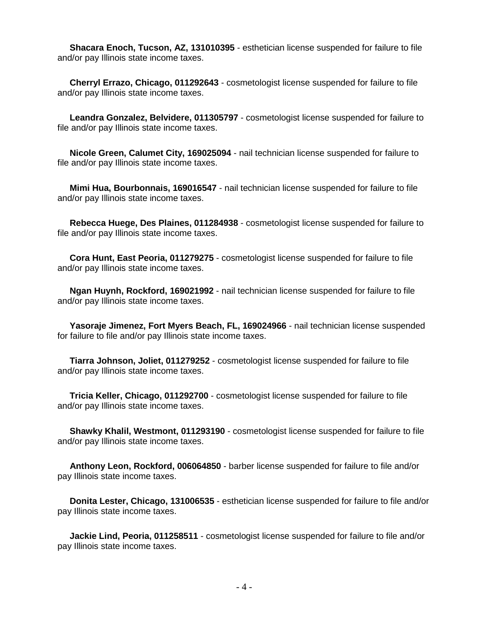**Shacara Enoch, Tucson, AZ, 131010395** - esthetician license suspended for failure to file and/or pay Illinois state income taxes.

 **Cherryl Errazo, Chicago, 011292643** - cosmetologist license suspended for failure to file and/or pay Illinois state income taxes.

 **Leandra Gonzalez, Belvidere, 011305797** - cosmetologist license suspended for failure to file and/or pay Illinois state income taxes.

 **Nicole Green, Calumet City, 169025094** - nail technician license suspended for failure to file and/or pay Illinois state income taxes.

 **Mimi Hua, Bourbonnais, 169016547** - nail technician license suspended for failure to file and/or pay Illinois state income taxes.

 **Rebecca Huege, Des Plaines, 011284938** - cosmetologist license suspended for failure to file and/or pay Illinois state income taxes.

 **Cora Hunt, East Peoria, 011279275** - cosmetologist license suspended for failure to file and/or pay Illinois state income taxes.

 **Ngan Huynh, Rockford, 169021992** - nail technician license suspended for failure to file and/or pay Illinois state income taxes.

 **Yasoraje Jimenez, Fort Myers Beach, FL, 169024966** - nail technician license suspended for failure to file and/or pay Illinois state income taxes.

 **Tiarra Johnson, Joliet, 011279252** - cosmetologist license suspended for failure to file and/or pay Illinois state income taxes.

 **Tricia Keller, Chicago, 011292700** - cosmetologist license suspended for failure to file and/or pay Illinois state income taxes.

 **Shawky Khalil, Westmont, 011293190** - cosmetologist license suspended for failure to file and/or pay Illinois state income taxes.

 **Anthony Leon, Rockford, 006064850** - barber license suspended for failure to file and/or pay Illinois state income taxes.

 **Donita Lester, Chicago, 131006535** - esthetician license suspended for failure to file and/or pay Illinois state income taxes.

 **Jackie Lind, Peoria, 011258511** - cosmetologist license suspended for failure to file and/or pay Illinois state income taxes.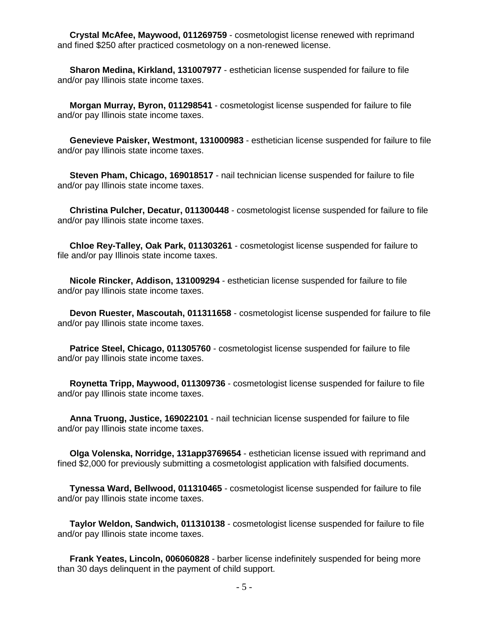**Crystal McAfee, Maywood, 011269759** - cosmetologist license renewed with reprimand and fined \$250 after practiced cosmetology on a non-renewed license.

 **Sharon Medina, Kirkland, 131007977** - esthetician license suspended for failure to file and/or pay Illinois state income taxes.

 **Morgan Murray, Byron, 011298541** - cosmetologist license suspended for failure to file and/or pay Illinois state income taxes.

 **Genevieve Paisker, Westmont, 131000983** - esthetician license suspended for failure to file and/or pay Illinois state income taxes.

 **Steven Pham, Chicago, 169018517** - nail technician license suspended for failure to file and/or pay Illinois state income taxes.

 **Christina Pulcher, Decatur, 011300448** - cosmetologist license suspended for failure to file and/or pay Illinois state income taxes.

 **Chloe Rey-Talley, Oak Park, 011303261** - cosmetologist license suspended for failure to file and/or pay Illinois state income taxes.

 **Nicole Rincker, Addison, 131009294** - esthetician license suspended for failure to file and/or pay Illinois state income taxes.

 **Devon Ruester, Mascoutah, 011311658** - cosmetologist license suspended for failure to file and/or pay Illinois state income taxes.

 **Patrice Steel, Chicago, 011305760** - cosmetologist license suspended for failure to file and/or pay Illinois state income taxes.

 **Roynetta Tripp, Maywood, 011309736** - cosmetologist license suspended for failure to file and/or pay Illinois state income taxes.

 **Anna Truong, Justice, 169022101** - nail technician license suspended for failure to file and/or pay Illinois state income taxes.

 **Olga Volenska, Norridge, 131app3769654** - esthetician license issued with reprimand and fined \$2,000 for previously submitting a cosmetologist application with falsified documents.

 **Tynessa Ward, Bellwood, 011310465** - cosmetologist license suspended for failure to file and/or pay Illinois state income taxes.

 **Taylor Weldon, Sandwich, 011310138** - cosmetologist license suspended for failure to file and/or pay Illinois state income taxes.

 **Frank Yeates, Lincoln, 006060828** - barber license indefinitely suspended for being more than 30 days delinquent in the payment of child support.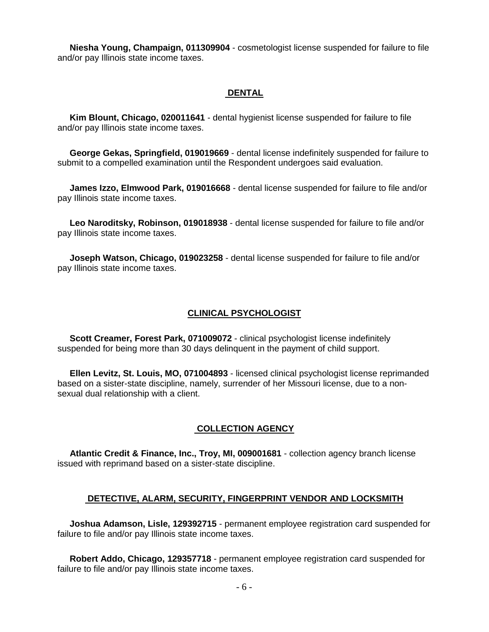**Niesha Young, Champaign, 011309904** - cosmetologist license suspended for failure to file and/or pay Illinois state income taxes.

#### **DENTAL**

 **Kim Blount, Chicago, 020011641** - dental hygienist license suspended for failure to file and/or pay Illinois state income taxes.

 **George Gekas, Springfield, 019019669** - dental license indefinitely suspended for failure to submit to a compelled examination until the Respondent undergoes said evaluation.

 **James Izzo, Elmwood Park, 019016668** - dental license suspended for failure to file and/or pay Illinois state income taxes.

 **Leo Naroditsky, Robinson, 019018938** - dental license suspended for failure to file and/or pay Illinois state income taxes.

 **Joseph Watson, Chicago, 019023258** - dental license suspended for failure to file and/or pay Illinois state income taxes.

#### **CLINICAL PSYCHOLOGIST**

 **Scott Creamer, Forest Park, 071009072** - clinical psychologist license indefinitely suspended for being more than 30 days delinquent in the payment of child support.

 **Ellen Levitz, St. Louis, MO, 071004893** - licensed clinical psychologist license reprimanded based on a sister-state discipline, namely, surrender of her Missouri license, due to a nonsexual dual relationship with a client.

#### **COLLECTION AGENCY**

 **Atlantic Credit & Finance, Inc., Troy, MI, 009001681** - collection agency branch license issued with reprimand based on a sister-state discipline.

#### **DETECTIVE, ALARM, SECURITY, FINGERPRINT VENDOR AND LOCKSMITH**

 **Joshua Adamson, Lisle, 129392715** - permanent employee registration card suspended for failure to file and/or pay Illinois state income taxes.

 **Robert Addo, Chicago, 129357718** - permanent employee registration card suspended for failure to file and/or pay Illinois state income taxes.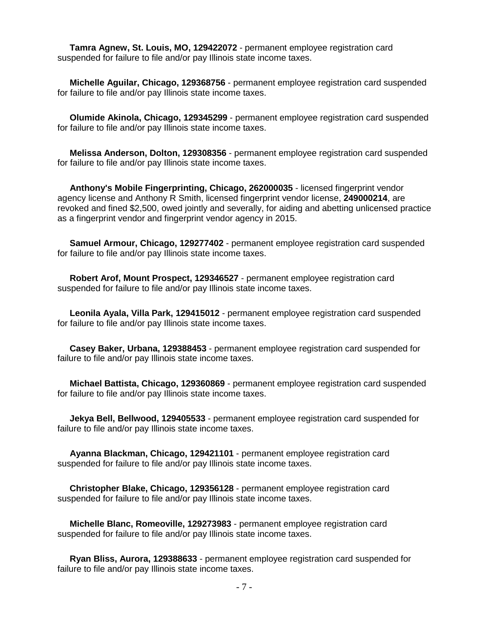**Tamra Agnew, St. Louis, MO, 129422072** - permanent employee registration card suspended for failure to file and/or pay Illinois state income taxes.

 **Michelle Aguilar, Chicago, 129368756** - permanent employee registration card suspended for failure to file and/or pay Illinois state income taxes.

 **Olumide Akinola, Chicago, 129345299** - permanent employee registration card suspended for failure to file and/or pay Illinois state income taxes.

 **Melissa Anderson, Dolton, 129308356** - permanent employee registration card suspended for failure to file and/or pay Illinois state income taxes.

 **Anthony's Mobile Fingerprinting, Chicago, 262000035** - licensed fingerprint vendor agency license and Anthony R Smith, licensed fingerprint vendor license, **249000214**, are revoked and fined \$2,500, owed jointly and severally, for aiding and abetting unlicensed practice as a fingerprint vendor and fingerprint vendor agency in 2015.

 **Samuel Armour, Chicago, 129277402** - permanent employee registration card suspended for failure to file and/or pay Illinois state income taxes.

 **Robert Arof, Mount Prospect, 129346527** - permanent employee registration card suspended for failure to file and/or pay Illinois state income taxes.

 **Leonila Ayala, Villa Park, 129415012** - permanent employee registration card suspended for failure to file and/or pay Illinois state income taxes.

 **Casey Baker, Urbana, 129388453** - permanent employee registration card suspended for failure to file and/or pay Illinois state income taxes.

 **Michael Battista, Chicago, 129360869** - permanent employee registration card suspended for failure to file and/or pay Illinois state income taxes.

 **Jekya Bell, Bellwood, 129405533** - permanent employee registration card suspended for failure to file and/or pay Illinois state income taxes.

 **Ayanna Blackman, Chicago, 129421101** - permanent employee registration card suspended for failure to file and/or pay Illinois state income taxes.

 **Christopher Blake, Chicago, 129356128** - permanent employee registration card suspended for failure to file and/or pay Illinois state income taxes.

 **Michelle Blanc, Romeoville, 129273983** - permanent employee registration card suspended for failure to file and/or pay Illinois state income taxes.

 **Ryan Bliss, Aurora, 129388633** - permanent employee registration card suspended for failure to file and/or pay Illinois state income taxes.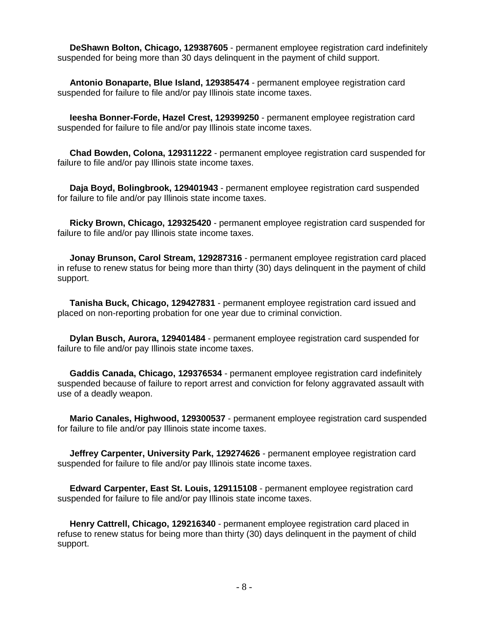**DeShawn Bolton, Chicago, 129387605** - permanent employee registration card indefinitely suspended for being more than 30 days delinquent in the payment of child support.

 **Antonio Bonaparte, Blue Island, 129385474** - permanent employee registration card suspended for failure to file and/or pay Illinois state income taxes.

 **Ieesha Bonner-Forde, Hazel Crest, 129399250** - permanent employee registration card suspended for failure to file and/or pay Illinois state income taxes.

 **Chad Bowden, Colona, 129311222** - permanent employee registration card suspended for failure to file and/or pay Illinois state income taxes.

 **Daja Boyd, Bolingbrook, 129401943** - permanent employee registration card suspended for failure to file and/or pay Illinois state income taxes.

 **Ricky Brown, Chicago, 129325420** - permanent employee registration card suspended for failure to file and/or pay Illinois state income taxes.

 **Jonay Brunson, Carol Stream, 129287316** - permanent employee registration card placed in refuse to renew status for being more than thirty (30) days delinquent in the payment of child support.

 **Tanisha Buck, Chicago, 129427831** - permanent employee registration card issued and placed on non-reporting probation for one year due to criminal conviction.

 **Dylan Busch, Aurora, 129401484** - permanent employee registration card suspended for failure to file and/or pay Illinois state income taxes.

 **Gaddis Canada, Chicago, 129376534** - permanent employee registration card indefinitely suspended because of failure to report arrest and conviction for felony aggravated assault with use of a deadly weapon.

 **Mario Canales, Highwood, 129300537** - permanent employee registration card suspended for failure to file and/or pay Illinois state income taxes.

 **Jeffrey Carpenter, University Park, 129274626** - permanent employee registration card suspended for failure to file and/or pay Illinois state income taxes.

 **Edward Carpenter, East St. Louis, 129115108** - permanent employee registration card suspended for failure to file and/or pay Illinois state income taxes.

 **Henry Cattrell, Chicago, 129216340** - permanent employee registration card placed in refuse to renew status for being more than thirty (30) days delinquent in the payment of child support.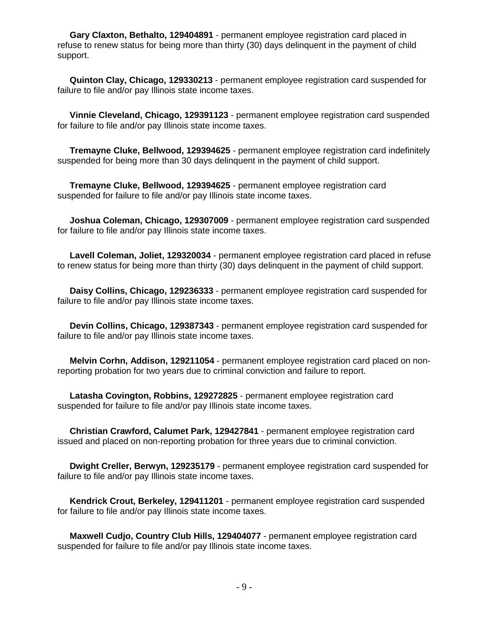**Gary Claxton, Bethalto, 129404891** - permanent employee registration card placed in refuse to renew status for being more than thirty (30) days delinquent in the payment of child support.

 **Quinton Clay, Chicago, 129330213** - permanent employee registration card suspended for failure to file and/or pay Illinois state income taxes.

 **Vinnie Cleveland, Chicago, 129391123** - permanent employee registration card suspended for failure to file and/or pay Illinois state income taxes.

 **Tremayne Cluke, Bellwood, 129394625** - permanent employee registration card indefinitely suspended for being more than 30 days delinquent in the payment of child support.

 **Tremayne Cluke, Bellwood, 129394625** - permanent employee registration card suspended for failure to file and/or pay Illinois state income taxes.

 **Joshua Coleman, Chicago, 129307009** - permanent employee registration card suspended for failure to file and/or pay Illinois state income taxes.

 **Lavell Coleman, Joliet, 129320034** - permanent employee registration card placed in refuse to renew status for being more than thirty (30) days delinquent in the payment of child support.

 **Daisy Collins, Chicago, 129236333** - permanent employee registration card suspended for failure to file and/or pay Illinois state income taxes.

 **Devin Collins, Chicago, 129387343** - permanent employee registration card suspended for failure to file and/or pay Illinois state income taxes.

 **Melvin Corhn, Addison, 129211054** - permanent employee registration card placed on nonreporting probation for two years due to criminal conviction and failure to report.

 **Latasha Covington, Robbins, 129272825** - permanent employee registration card suspended for failure to file and/or pay Illinois state income taxes.

 **Christian Crawford, Calumet Park, 129427841** - permanent employee registration card issued and placed on non-reporting probation for three years due to criminal conviction.

 **Dwight Creller, Berwyn, 129235179** - permanent employee registration card suspended for failure to file and/or pay Illinois state income taxes.

 **Kendrick Crout, Berkeley, 129411201** - permanent employee registration card suspended for failure to file and/or pay Illinois state income taxes.

 **Maxwell Cudjo, Country Club Hills, 129404077** - permanent employee registration card suspended for failure to file and/or pay Illinois state income taxes.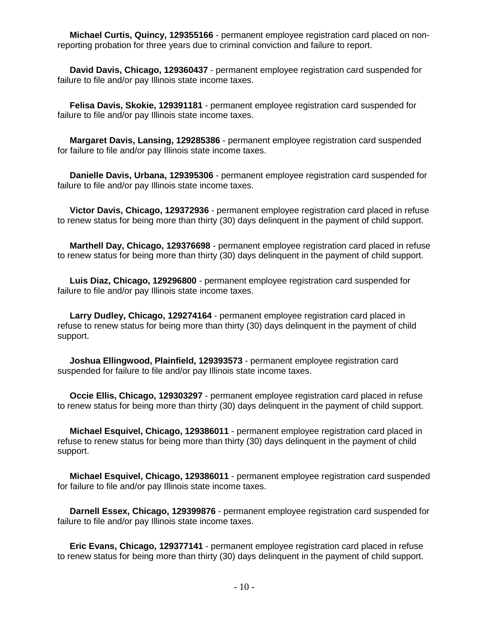**Michael Curtis, Quincy, 129355166** - permanent employee registration card placed on nonreporting probation for three years due to criminal conviction and failure to report.

 **David Davis, Chicago, 129360437** - permanent employee registration card suspended for failure to file and/or pay Illinois state income taxes.

 **Felisa Davis, Skokie, 129391181** - permanent employee registration card suspended for failure to file and/or pay Illinois state income taxes.

 **Margaret Davis, Lansing, 129285386** - permanent employee registration card suspended for failure to file and/or pay Illinois state income taxes.

 **Danielle Davis, Urbana, 129395306** - permanent employee registration card suspended for failure to file and/or pay Illinois state income taxes.

 **Victor Davis, Chicago, 129372936** - permanent employee registration card placed in refuse to renew status for being more than thirty (30) days delinquent in the payment of child support.

 **Marthell Day, Chicago, 129376698** - permanent employee registration card placed in refuse to renew status for being more than thirty (30) days delinquent in the payment of child support.

 **Luis Diaz, Chicago, 129296800** - permanent employee registration card suspended for failure to file and/or pay Illinois state income taxes.

 **Larry Dudley, Chicago, 129274164** - permanent employee registration card placed in refuse to renew status for being more than thirty (30) days delinquent in the payment of child support.

 **Joshua Ellingwood, Plainfield, 129393573** - permanent employee registration card suspended for failure to file and/or pay Illinois state income taxes.

 **Occie Ellis, Chicago, 129303297** - permanent employee registration card placed in refuse to renew status for being more than thirty (30) days delinquent in the payment of child support.

 **Michael Esquivel, Chicago, 129386011** - permanent employee registration card placed in refuse to renew status for being more than thirty (30) days delinquent in the payment of child support.

 **Michael Esquivel, Chicago, 129386011** - permanent employee registration card suspended for failure to file and/or pay Illinois state income taxes.

 **Darnell Essex, Chicago, 129399876** - permanent employee registration card suspended for failure to file and/or pay Illinois state income taxes.

 **Eric Evans, Chicago, 129377141** - permanent employee registration card placed in refuse to renew status for being more than thirty (30) days delinquent in the payment of child support.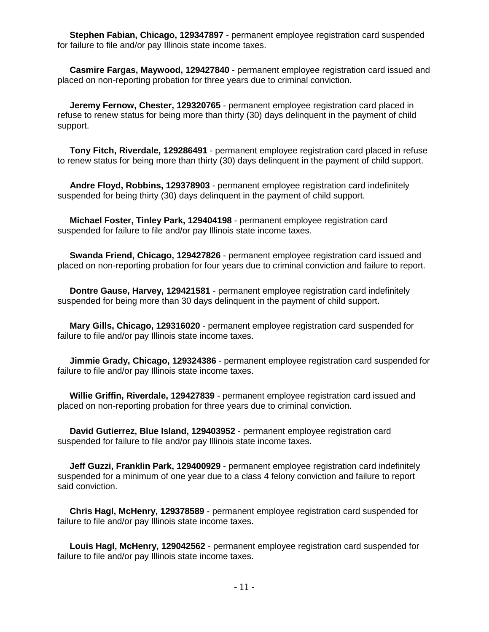**Stephen Fabian, Chicago, 129347897** - permanent employee registration card suspended for failure to file and/or pay Illinois state income taxes.

 **Casmire Fargas, Maywood, 129427840** - permanent employee registration card issued and placed on non-reporting probation for three years due to criminal conviction.

 **Jeremy Fernow, Chester, 129320765** - permanent employee registration card placed in refuse to renew status for being more than thirty (30) days delinquent in the payment of child support.

 **Tony Fitch, Riverdale, 129286491** - permanent employee registration card placed in refuse to renew status for being more than thirty (30) days delinquent in the payment of child support.

 **Andre Floyd, Robbins, 129378903** - permanent employee registration card indefinitely suspended for being thirty (30) days delinquent in the payment of child support.

 **Michael Foster, Tinley Park, 129404198** - permanent employee registration card suspended for failure to file and/or pay Illinois state income taxes.

 **Swanda Friend, Chicago, 129427826** - permanent employee registration card issued and placed on non-reporting probation for four years due to criminal conviction and failure to report.

 **Dontre Gause, Harvey, 129421581** - permanent employee registration card indefinitely suspended for being more than 30 days delinquent in the payment of child support.

 **Mary Gills, Chicago, 129316020** - permanent employee registration card suspended for failure to file and/or pay Illinois state income taxes.

 **Jimmie Grady, Chicago, 129324386** - permanent employee registration card suspended for failure to file and/or pay Illinois state income taxes.

 **Willie Griffin, Riverdale, 129427839** - permanent employee registration card issued and placed on non-reporting probation for three years due to criminal conviction.

 **David Gutierrez, Blue Island, 129403952** - permanent employee registration card suspended for failure to file and/or pay Illinois state income taxes.

 **Jeff Guzzi, Franklin Park, 129400929** - permanent employee registration card indefinitely suspended for a minimum of one year due to a class 4 felony conviction and failure to report said conviction.

 **Chris Hagl, McHenry, 129378589** - permanent employee registration card suspended for failure to file and/or pay Illinois state income taxes.

 **Louis Hagl, McHenry, 129042562** - permanent employee registration card suspended for failure to file and/or pay Illinois state income taxes.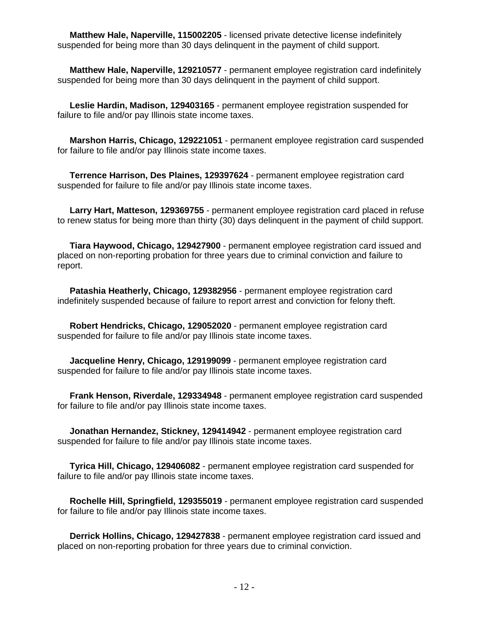**Matthew Hale, Naperville, 115002205** - licensed private detective license indefinitely suspended for being more than 30 days delinquent in the payment of child support.

 **Matthew Hale, Naperville, 129210577** - permanent employee registration card indefinitely suspended for being more than 30 days delinquent in the payment of child support.

 **Leslie Hardin, Madison, 129403165** - permanent employee registration suspended for failure to file and/or pay Illinois state income taxes.

 **Marshon Harris, Chicago, 129221051** - permanent employee registration card suspended for failure to file and/or pay Illinois state income taxes.

 **Terrence Harrison, Des Plaines, 129397624** - permanent employee registration card suspended for failure to file and/or pay Illinois state income taxes.

 **Larry Hart, Matteson, 129369755** - permanent employee registration card placed in refuse to renew status for being more than thirty (30) days delinquent in the payment of child support.

 **Tiara Haywood, Chicago, 129427900** - permanent employee registration card issued and placed on non-reporting probation for three years due to criminal conviction and failure to report.

 **Patashia Heatherly, Chicago, 129382956** - permanent employee registration card indefinitely suspended because of failure to report arrest and conviction for felony theft.

 **Robert Hendricks, Chicago, 129052020** - permanent employee registration card suspended for failure to file and/or pay Illinois state income taxes.

 **Jacqueline Henry, Chicago, 129199099** - permanent employee registration card suspended for failure to file and/or pay Illinois state income taxes.

 **Frank Henson, Riverdale, 129334948** - permanent employee registration card suspended for failure to file and/or pay Illinois state income taxes.

 **Jonathan Hernandez, Stickney, 129414942** - permanent employee registration card suspended for failure to file and/or pay Illinois state income taxes.

 **Tyrica Hill, Chicago, 129406082** - permanent employee registration card suspended for failure to file and/or pay Illinois state income taxes.

 **Rochelle Hill, Springfield, 129355019** - permanent employee registration card suspended for failure to file and/or pay Illinois state income taxes.

 **Derrick Hollins, Chicago, 129427838** - permanent employee registration card issued and placed on non-reporting probation for three years due to criminal conviction.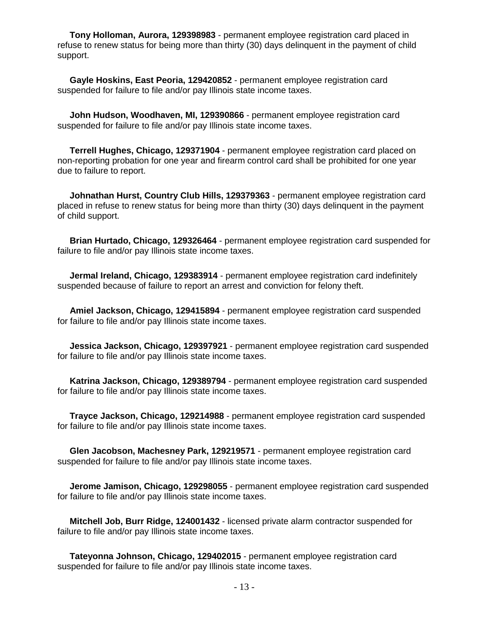**Tony Holloman, Aurora, 129398983** - permanent employee registration card placed in refuse to renew status for being more than thirty (30) days delinquent in the payment of child support.

 **Gayle Hoskins, East Peoria, 129420852** - permanent employee registration card suspended for failure to file and/or pay Illinois state income taxes.

 **John Hudson, Woodhaven, MI, 129390866** - permanent employee registration card suspended for failure to file and/or pay Illinois state income taxes.

 **Terrell Hughes, Chicago, 129371904** - permanent employee registration card placed on non-reporting probation for one year and firearm control card shall be prohibited for one year due to failure to report.

 **Johnathan Hurst, Country Club Hills, 129379363** - permanent employee registration card placed in refuse to renew status for being more than thirty (30) days delinquent in the payment of child support.

 **Brian Hurtado, Chicago, 129326464** - permanent employee registration card suspended for failure to file and/or pay Illinois state income taxes.

 **Jermal Ireland, Chicago, 129383914** - permanent employee registration card indefinitely suspended because of failure to report an arrest and conviction for felony theft.

 **Amiel Jackson, Chicago, 129415894** - permanent employee registration card suspended for failure to file and/or pay Illinois state income taxes.

 **Jessica Jackson, Chicago, 129397921** - permanent employee registration card suspended for failure to file and/or pay Illinois state income taxes.

 **Katrina Jackson, Chicago, 129389794** - permanent employee registration card suspended for failure to file and/or pay Illinois state income taxes.

 **Trayce Jackson, Chicago, 129214988** - permanent employee registration card suspended for failure to file and/or pay Illinois state income taxes.

 **Glen Jacobson, Machesney Park, 129219571** - permanent employee registration card suspended for failure to file and/or pay Illinois state income taxes.

 **Jerome Jamison, Chicago, 129298055** - permanent employee registration card suspended for failure to file and/or pay Illinois state income taxes.

 **Mitchell Job, Burr Ridge, 124001432** - licensed private alarm contractor suspended for failure to file and/or pay Illinois state income taxes.

 **Tateyonna Johnson, Chicago, 129402015** - permanent employee registration card suspended for failure to file and/or pay Illinois state income taxes.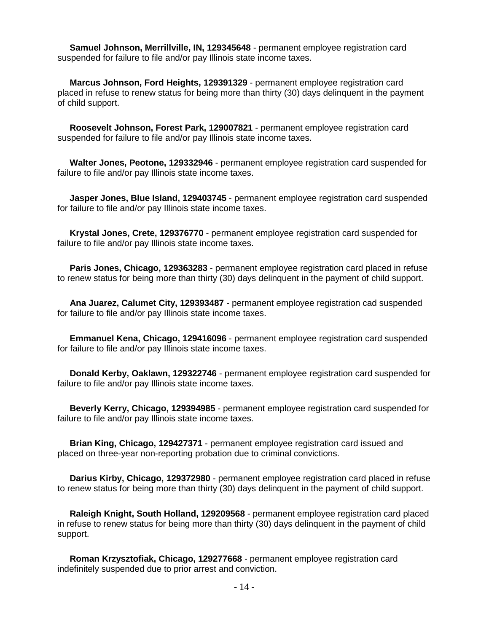**Samuel Johnson, Merrillville, IN, 129345648** - permanent employee registration card suspended for failure to file and/or pay Illinois state income taxes.

 **Marcus Johnson, Ford Heights, 129391329** - permanent employee registration card placed in refuse to renew status for being more than thirty (30) days delinquent in the payment of child support.

 **Roosevelt Johnson, Forest Park, 129007821** - permanent employee registration card suspended for failure to file and/or pay Illinois state income taxes.

 **Walter Jones, Peotone, 129332946** - permanent employee registration card suspended for failure to file and/or pay Illinois state income taxes.

 **Jasper Jones, Blue Island, 129403745** - permanent employee registration card suspended for failure to file and/or pay Illinois state income taxes.

 **Krystal Jones, Crete, 129376770** - permanent employee registration card suspended for failure to file and/or pay Illinois state income taxes.

 **Paris Jones, Chicago, 129363283** - permanent employee registration card placed in refuse to renew status for being more than thirty (30) days delinquent in the payment of child support.

 **Ana Juarez, Calumet City, 129393487** - permanent employee registration cad suspended for failure to file and/or pay Illinois state income taxes.

 **Emmanuel Kena, Chicago, 129416096** - permanent employee registration card suspended for failure to file and/or pay Illinois state income taxes.

 **Donald Kerby, Oaklawn, 129322746** - permanent employee registration card suspended for failure to file and/or pay Illinois state income taxes.

 **Beverly Kerry, Chicago, 129394985** - permanent employee registration card suspended for failure to file and/or pay Illinois state income taxes.

 **Brian King, Chicago, 129427371** - permanent employee registration card issued and placed on three-year non-reporting probation due to criminal convictions.

 **Darius Kirby, Chicago, 129372980** - permanent employee registration card placed in refuse to renew status for being more than thirty (30) days delinquent in the payment of child support.

 **Raleigh Knight, South Holland, 129209568** - permanent employee registration card placed in refuse to renew status for being more than thirty (30) days delinquent in the payment of child support.

 **Roman Krzysztofiak, Chicago, 129277668** - permanent employee registration card indefinitely suspended due to prior arrest and conviction.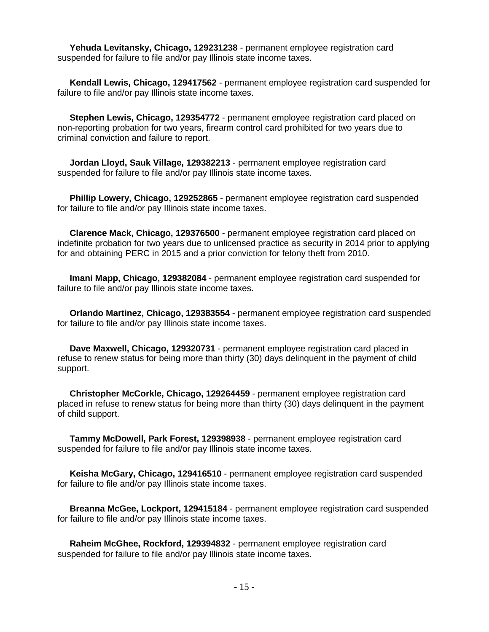**Yehuda Levitansky, Chicago, 129231238** - permanent employee registration card suspended for failure to file and/or pay Illinois state income taxes.

 **Kendall Lewis, Chicago, 129417562** - permanent employee registration card suspended for failure to file and/or pay Illinois state income taxes.

 **Stephen Lewis, Chicago, 129354772** - permanent employee registration card placed on non-reporting probation for two years, firearm control card prohibited for two years due to criminal conviction and failure to report.

 **Jordan Lloyd, Sauk Village, 129382213** - permanent employee registration card suspended for failure to file and/or pay Illinois state income taxes.

 **Phillip Lowery, Chicago, 129252865** - permanent employee registration card suspended for failure to file and/or pay Illinois state income taxes.

 **Clarence Mack, Chicago, 129376500** - permanent employee registration card placed on indefinite probation for two years due to unlicensed practice as security in 2014 prior to applying for and obtaining PERC in 2015 and a prior conviction for felony theft from 2010.

 **Imani Mapp, Chicago, 129382084** - permanent employee registration card suspended for failure to file and/or pay Illinois state income taxes.

 **Orlando Martinez, Chicago, 129383554** - permanent employee registration card suspended for failure to file and/or pay Illinois state income taxes.

 **Dave Maxwell, Chicago, 129320731** - permanent employee registration card placed in refuse to renew status for being more than thirty (30) days delinquent in the payment of child support.

 **Christopher McCorkle, Chicago, 129264459** - permanent employee registration card placed in refuse to renew status for being more than thirty (30) days delinquent in the payment of child support.

 **Tammy McDowell, Park Forest, 129398938** - permanent employee registration card suspended for failure to file and/or pay Illinois state income taxes.

 **Keisha McGary, Chicago, 129416510** - permanent employee registration card suspended for failure to file and/or pay Illinois state income taxes.

 **Breanna McGee, Lockport, 129415184** - permanent employee registration card suspended for failure to file and/or pay Illinois state income taxes.

 **Raheim McGhee, Rockford, 129394832** - permanent employee registration card suspended for failure to file and/or pay Illinois state income taxes.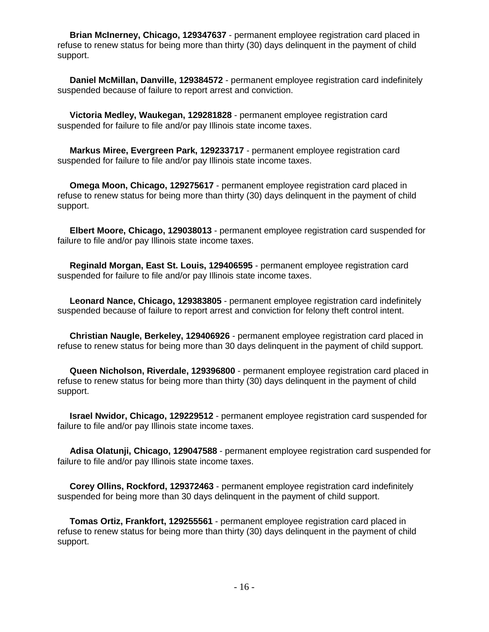**Brian McInerney, Chicago, 129347637** - permanent employee registration card placed in refuse to renew status for being more than thirty (30) days delinquent in the payment of child support.

 **Daniel McMillan, Danville, 129384572** - permanent employee registration card indefinitely suspended because of failure to report arrest and conviction.

 **Victoria Medley, Waukegan, 129281828** - permanent employee registration card suspended for failure to file and/or pay Illinois state income taxes.

 **Markus Miree, Evergreen Park, 129233717** - permanent employee registration card suspended for failure to file and/or pay Illinois state income taxes.

 **Omega Moon, Chicago, 129275617** - permanent employee registration card placed in refuse to renew status for being more than thirty (30) days delinquent in the payment of child support.

 **Elbert Moore, Chicago, 129038013** - permanent employee registration card suspended for failure to file and/or pay Illinois state income taxes.

 **Reginald Morgan, East St. Louis, 129406595** - permanent employee registration card suspended for failure to file and/or pay Illinois state income taxes.

 **Leonard Nance, Chicago, 129383805** - permanent employee registration card indefinitely suspended because of failure to report arrest and conviction for felony theft control intent.

 **Christian Naugle, Berkeley, 129406926** - permanent employee registration card placed in refuse to renew status for being more than 30 days delinquent in the payment of child support.

 **Queen Nicholson, Riverdale, 129396800** - permanent employee registration card placed in refuse to renew status for being more than thirty (30) days delinquent in the payment of child support.

 **Israel Nwidor, Chicago, 129229512** - permanent employee registration card suspended for failure to file and/or pay Illinois state income taxes.

 **Adisa Olatunji, Chicago, 129047588** - permanent employee registration card suspended for failure to file and/or pay Illinois state income taxes.

 **Corey Ollins, Rockford, 129372463** - permanent employee registration card indefinitely suspended for being more than 30 days delinquent in the payment of child support.

 **Tomas Ortiz, Frankfort, 129255561** - permanent employee registration card placed in refuse to renew status for being more than thirty (30) days delinquent in the payment of child support.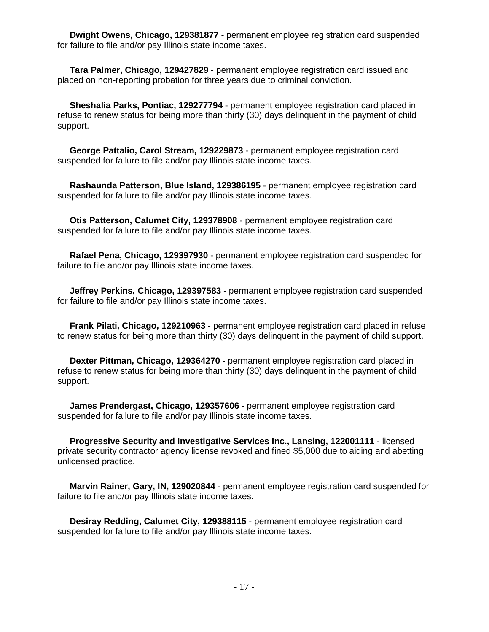**Dwight Owens, Chicago, 129381877** - permanent employee registration card suspended for failure to file and/or pay Illinois state income taxes.

 **Tara Palmer, Chicago, 129427829** - permanent employee registration card issued and placed on non-reporting probation for three years due to criminal conviction.

 **Sheshalia Parks, Pontiac, 129277794** - permanent employee registration card placed in refuse to renew status for being more than thirty (30) days delinquent in the payment of child support.

 **George Pattalio, Carol Stream, 129229873** - permanent employee registration card suspended for failure to file and/or pay Illinois state income taxes.

 **Rashaunda Patterson, Blue Island, 129386195** - permanent employee registration card suspended for failure to file and/or pay Illinois state income taxes.

 **Otis Patterson, Calumet City, 129378908** - permanent employee registration card suspended for failure to file and/or pay Illinois state income taxes.

 **Rafael Pena, Chicago, 129397930** - permanent employee registration card suspended for failure to file and/or pay Illinois state income taxes.

 **Jeffrey Perkins, Chicago, 129397583** - permanent employee registration card suspended for failure to file and/or pay Illinois state income taxes.

 **Frank Pilati, Chicago, 129210963** - permanent employee registration card placed in refuse to renew status for being more than thirty (30) days delinquent in the payment of child support.

 **Dexter Pittman, Chicago, 129364270** - permanent employee registration card placed in refuse to renew status for being more than thirty (30) days delinquent in the payment of child support.

 **James Prendergast, Chicago, 129357606** - permanent employee registration card suspended for failure to file and/or pay Illinois state income taxes.

 **Progressive Security and Investigative Services Inc., Lansing, 122001111** - licensed private security contractor agency license revoked and fined \$5,000 due to aiding and abetting unlicensed practice.

 **Marvin Rainer, Gary, IN, 129020844** - permanent employee registration card suspended for failure to file and/or pay Illinois state income taxes.

 **Desiray Redding, Calumet City, 129388115** - permanent employee registration card suspended for failure to file and/or pay Illinois state income taxes.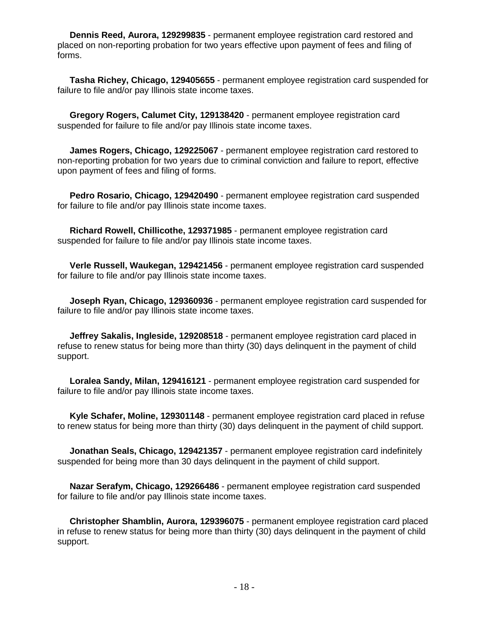**Dennis Reed, Aurora, 129299835** - permanent employee registration card restored and placed on non-reporting probation for two years effective upon payment of fees and filing of forms.

 **Tasha Richey, Chicago, 129405655** - permanent employee registration card suspended for failure to file and/or pay Illinois state income taxes.

 **Gregory Rogers, Calumet City, 129138420** - permanent employee registration card suspended for failure to file and/or pay Illinois state income taxes.

 **James Rogers, Chicago, 129225067** - permanent employee registration card restored to non-reporting probation for two years due to criminal conviction and failure to report, effective upon payment of fees and filing of forms.

 **Pedro Rosario, Chicago, 129420490** - permanent employee registration card suspended for failure to file and/or pay Illinois state income taxes.

 **Richard Rowell, Chillicothe, 129371985** - permanent employee registration card suspended for failure to file and/or pay Illinois state income taxes.

 **Verle Russell, Waukegan, 129421456** - permanent employee registration card suspended for failure to file and/or pay Illinois state income taxes.

 **Joseph Ryan, Chicago, 129360936** - permanent employee registration card suspended for failure to file and/or pay Illinois state income taxes.

 **Jeffrey Sakalis, Ingleside, 129208518** - permanent employee registration card placed in refuse to renew status for being more than thirty (30) days delinquent in the payment of child support.

 **Loralea Sandy, Milan, 129416121** - permanent employee registration card suspended for failure to file and/or pay Illinois state income taxes.

 **Kyle Schafer, Moline, 129301148** - permanent employee registration card placed in refuse to renew status for being more than thirty (30) days delinquent in the payment of child support.

 **Jonathan Seals, Chicago, 129421357** - permanent employee registration card indefinitely suspended for being more than 30 days delinquent in the payment of child support.

 **Nazar Serafym, Chicago, 129266486** - permanent employee registration card suspended for failure to file and/or pay Illinois state income taxes.

 **Christopher Shamblin, Aurora, 129396075** - permanent employee registration card placed in refuse to renew status for being more than thirty (30) days delinquent in the payment of child support.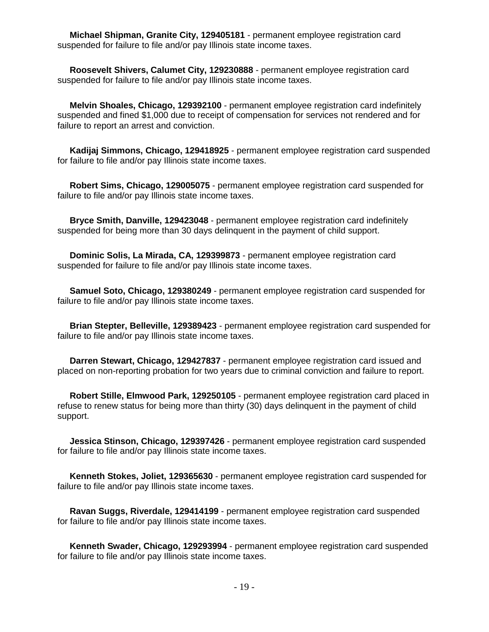**Michael Shipman, Granite City, 129405181** - permanent employee registration card suspended for failure to file and/or pay Illinois state income taxes.

 **Roosevelt Shivers, Calumet City, 129230888** - permanent employee registration card suspended for failure to file and/or pay Illinois state income taxes.

 **Melvin Shoales, Chicago, 129392100** - permanent employee registration card indefinitely suspended and fined \$1,000 due to receipt of compensation for services not rendered and for failure to report an arrest and conviction.

 **Kadijaj Simmons, Chicago, 129418925** - permanent employee registration card suspended for failure to file and/or pay Illinois state income taxes.

 **Robert Sims, Chicago, 129005075** - permanent employee registration card suspended for failure to file and/or pay Illinois state income taxes.

 **Bryce Smith, Danville, 129423048** - permanent employee registration card indefinitely suspended for being more than 30 days delinquent in the payment of child support.

 **Dominic Solis, La Mirada, CA, 129399873** - permanent employee registration card suspended for failure to file and/or pay Illinois state income taxes.

 **Samuel Soto, Chicago, 129380249** - permanent employee registration card suspended for failure to file and/or pay Illinois state income taxes.

 **Brian Stepter, Belleville, 129389423** - permanent employee registration card suspended for failure to file and/or pay Illinois state income taxes.

 **Darren Stewart, Chicago, 129427837** - permanent employee registration card issued and placed on non-reporting probation for two years due to criminal conviction and failure to report.

 **Robert Stille, Elmwood Park, 129250105** - permanent employee registration card placed in refuse to renew status for being more than thirty (30) days delinquent in the payment of child support.

 **Jessica Stinson, Chicago, 129397426** - permanent employee registration card suspended for failure to file and/or pay Illinois state income taxes.

 **Kenneth Stokes, Joliet, 129365630** - permanent employee registration card suspended for failure to file and/or pay Illinois state income taxes.

 **Ravan Suggs, Riverdale, 129414199** - permanent employee registration card suspended for failure to file and/or pay Illinois state income taxes.

 **Kenneth Swader, Chicago, 129293994** - permanent employee registration card suspended for failure to file and/or pay Illinois state income taxes.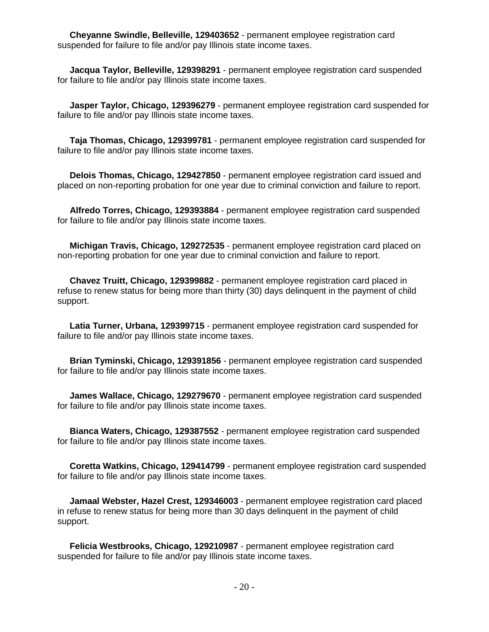**Cheyanne Swindle, Belleville, 129403652** - permanent employee registration card suspended for failure to file and/or pay Illinois state income taxes.

 **Jacqua Taylor, Belleville, 129398291** - permanent employee registration card suspended for failure to file and/or pay Illinois state income taxes.

 **Jasper Taylor, Chicago, 129396279** - permanent employee registration card suspended for failure to file and/or pay Illinois state income taxes.

 **Taja Thomas, Chicago, 129399781** - permanent employee registration card suspended for failure to file and/or pay Illinois state income taxes.

 **Delois Thomas, Chicago, 129427850** - permanent employee registration card issued and placed on non-reporting probation for one year due to criminal conviction and failure to report.

 **Alfredo Torres, Chicago, 129393884** - permanent employee registration card suspended for failure to file and/or pay Illinois state income taxes.

 **Michigan Travis, Chicago, 129272535** - permanent employee registration card placed on non-reporting probation for one year due to criminal conviction and failure to report.

 **Chavez Truitt, Chicago, 129399882** - permanent employee registration card placed in refuse to renew status for being more than thirty (30) days delinquent in the payment of child support.

 **Latia Turner, Urbana, 129399715** - permanent employee registration card suspended for failure to file and/or pay Illinois state income taxes.

 **Brian Tyminski, Chicago, 129391856** - permanent employee registration card suspended for failure to file and/or pay Illinois state income taxes.

 **James Wallace, Chicago, 129279670** - permanent employee registration card suspended for failure to file and/or pay Illinois state income taxes.

 **Bianca Waters, Chicago, 129387552** - permanent employee registration card suspended for failure to file and/or pay Illinois state income taxes.

 **Coretta Watkins, Chicago, 129414799** - permanent employee registration card suspended for failure to file and/or pay Illinois state income taxes.

 **Jamaal Webster, Hazel Crest, 129346003** - permanent employee registration card placed in refuse to renew status for being more than 30 days delinquent in the payment of child support.

 **Felicia Westbrooks, Chicago, 129210987** - permanent employee registration card suspended for failure to file and/or pay Illinois state income taxes.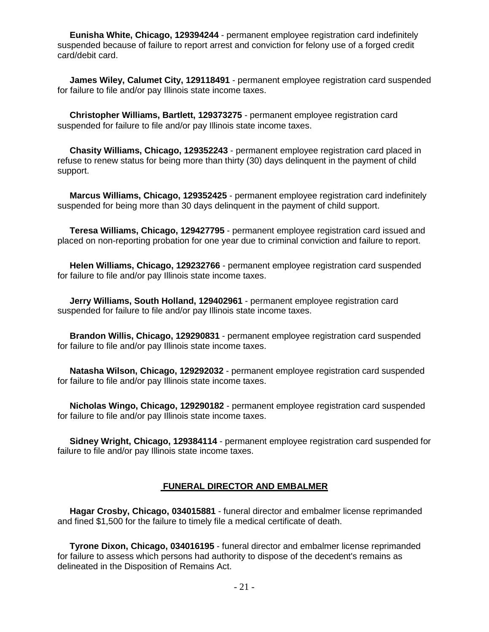**Eunisha White, Chicago, 129394244** - permanent employee registration card indefinitely suspended because of failure to report arrest and conviction for felony use of a forged credit card/debit card.

 **James Wiley, Calumet City, 129118491** - permanent employee registration card suspended for failure to file and/or pay Illinois state income taxes.

 **Christopher Williams, Bartlett, 129373275** - permanent employee registration card suspended for failure to file and/or pay Illinois state income taxes.

 **Chasity Williams, Chicago, 129352243** - permanent employee registration card placed in refuse to renew status for being more than thirty (30) days delinquent in the payment of child support.

 **Marcus Williams, Chicago, 129352425** - permanent employee registration card indefinitely suspended for being more than 30 days delinquent in the payment of child support.

 **Teresa Williams, Chicago, 129427795** - permanent employee registration card issued and placed on non-reporting probation for one year due to criminal conviction and failure to report.

 **Helen Williams, Chicago, 129232766** - permanent employee registration card suspended for failure to file and/or pay Illinois state income taxes.

 **Jerry Williams, South Holland, 129402961** - permanent employee registration card suspended for failure to file and/or pay Illinois state income taxes.

 **Brandon Willis, Chicago, 129290831** - permanent employee registration card suspended for failure to file and/or pay Illinois state income taxes.

 **Natasha Wilson, Chicago, 129292032** - permanent employee registration card suspended for failure to file and/or pay Illinois state income taxes.

 **Nicholas Wingo, Chicago, 129290182** - permanent employee registration card suspended for failure to file and/or pay Illinois state income taxes.

 **Sidney Wright, Chicago, 129384114** - permanent employee registration card suspended for failure to file and/or pay Illinois state income taxes.

#### **FUNERAL DIRECTOR AND EMBALMER**

 **Hagar Crosby, Chicago, 034015881** - funeral director and embalmer license reprimanded and fined \$1,500 for the failure to timely file a medical certificate of death.

 **Tyrone Dixon, Chicago, 034016195** - funeral director and embalmer license reprimanded for failure to assess which persons had authority to dispose of the decedent's remains as delineated in the Disposition of Remains Act.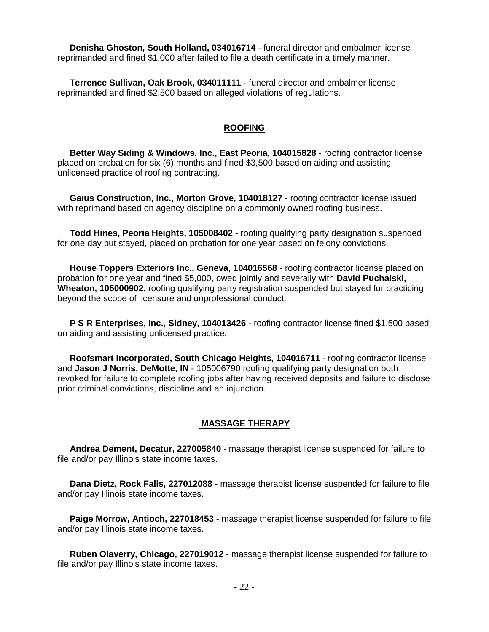**Denisha Ghoston, South Holland, 034016714** - funeral director and embalmer license reprimanded and fined \$1,000 after failed to file a death certificate in a timely manner.

 **Terrence Sullivan, Oak Brook, 034011111** - funeral director and embalmer license reprimanded and fined \$2,500 based on alleged violations of regulations.

#### **ROOFING**

 **Better Way Siding & Windows, Inc., East Peoria, 104015828** - roofing contractor license placed on probation for six (6) months and fined \$3,500 based on aiding and assisting unlicensed practice of roofing contracting.

 **Gaius Construction, Inc., Morton Grove, 104018127** - roofing contractor license issued with reprimand based on agency discipline on a commonly owned roofing business.

 **Todd Hines, Peoria Heights, 105008402** - roofing qualifying party designation suspended for one day but stayed, placed on probation for one year based on felony convictions.

 **House Toppers Exteriors Inc., Geneva, 104016568** - roofing contractor license placed on probation for one year and fined \$5,000, owed jointly and severally with **David Puchalski, Wheaton, 105000902**, roofing qualifying party registration suspended but stayed for practicing beyond the scope of licensure and unprofessional conduct.

 **P S R Enterprises, Inc., Sidney, 104013426** - roofing contractor license fined \$1,500 based on aiding and assisting unlicensed practice.

 **Roofsmart Incorporated, South Chicago Heights, 104016711** - roofing contractor license and **Jason J Norris, DeMotte, IN** - 105006790 roofing qualifying party designation both revoked for failure to complete roofing jobs after having received deposits and failure to disclose prior criminal convictions, discipline and an injunction.

#### **MASSAGE THERAPY**

 **Andrea Dement, Decatur, 227005840** - massage therapist license suspended for failure to file and/or pay Illinois state income taxes.

 **Dana Dietz, Rock Falls, 227012088** - massage therapist license suspended for failure to file and/or pay Illinois state income taxes.

 **Paige Morrow, Antioch, 227018453** - massage therapist license suspended for failure to file and/or pay Illinois state income taxes.

 **Ruben Olaverry, Chicago, 227019012** - massage therapist license suspended for failure to file and/or pay Illinois state income taxes.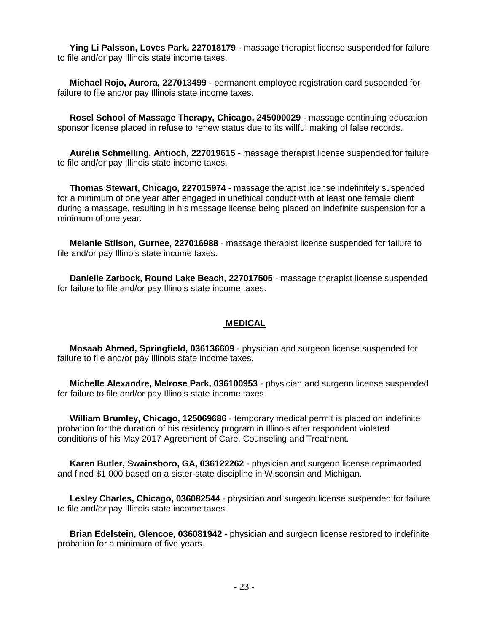**Ying Li Palsson, Loves Park, 227018179** - massage therapist license suspended for failure to file and/or pay Illinois state income taxes.

 **Michael Rojo, Aurora, 227013499** - permanent employee registration card suspended for failure to file and/or pay Illinois state income taxes.

 **Rosel School of Massage Therapy, Chicago, 245000029** - massage continuing education sponsor license placed in refuse to renew status due to its willful making of false records.

 **Aurelia Schmelling, Antioch, 227019615** - massage therapist license suspended for failure to file and/or pay Illinois state income taxes.

 **Thomas Stewart, Chicago, 227015974** - massage therapist license indefinitely suspended for a minimum of one year after engaged in unethical conduct with at least one female client during a massage, resulting in his massage license being placed on indefinite suspension for a minimum of one year.

 **Melanie Stilson, Gurnee, 227016988** - massage therapist license suspended for failure to file and/or pay Illinois state income taxes.

 **Danielle Zarbock, Round Lake Beach, 227017505** - massage therapist license suspended for failure to file and/or pay Illinois state income taxes.

#### **MEDICAL**

 **Mosaab Ahmed, Springfield, 036136609** - physician and surgeon license suspended for failure to file and/or pay Illinois state income taxes.

 **Michelle Alexandre, Melrose Park, 036100953** - physician and surgeon license suspended for failure to file and/or pay Illinois state income taxes.

 **William Brumley, Chicago, 125069686** - temporary medical permit is placed on indefinite probation for the duration of his residency program in Illinois after respondent violated conditions of his May 2017 Agreement of Care, Counseling and Treatment.

 **Karen Butler, Swainsboro, GA, 036122262** - physician and surgeon license reprimanded and fined \$1,000 based on a sister-state discipline in Wisconsin and Michigan.

 **Lesley Charles, Chicago, 036082544** - physician and surgeon license suspended for failure to file and/or pay Illinois state income taxes.

 **Brian Edelstein, Glencoe, 036081942** - physician and surgeon license restored to indefinite probation for a minimum of five years.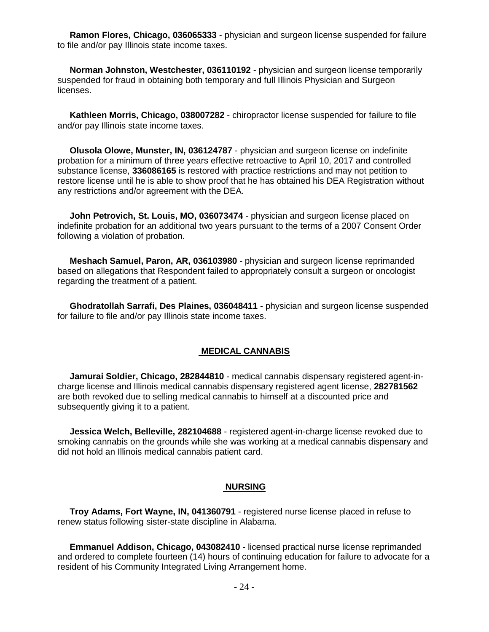**Ramon Flores, Chicago, 036065333** - physician and surgeon license suspended for failure to file and/or pay Illinois state income taxes.

 **Norman Johnston, Westchester, 036110192** - physician and surgeon license temporarily suspended for fraud in obtaining both temporary and full Illinois Physician and Surgeon licenses.

 **Kathleen Morris, Chicago, 038007282** - chiropractor license suspended for failure to file and/or pay Illinois state income taxes.

 **Olusola Olowe, Munster, IN, 036124787** - physician and surgeon license on indefinite probation for a minimum of three years effective retroactive to April 10, 2017 and controlled substance license, **336086165** is restored with practice restrictions and may not petition to restore license until he is able to show proof that he has obtained his DEA Registration without any restrictions and/or agreement with the DEA.

 **John Petrovich, St. Louis, MO, 036073474** - physician and surgeon license placed on indefinite probation for an additional two years pursuant to the terms of a 2007 Consent Order following a violation of probation.

 **Meshach Samuel, Paron, AR, 036103980** - physician and surgeon license reprimanded based on allegations that Respondent failed to appropriately consult a surgeon or oncologist regarding the treatment of a patient.

 **Ghodratollah Sarrafi, Des Plaines, 036048411** - physician and surgeon license suspended for failure to file and/or pay Illinois state income taxes.

#### **MEDICAL CANNABIS**

 **Jamurai Soldier, Chicago, 282844810** - medical cannabis dispensary registered agent-incharge license and Illinois medical cannabis dispensary registered agent license, **282781562** are both revoked due to selling medical cannabis to himself at a discounted price and subsequently giving it to a patient.

 **Jessica Welch, Belleville, 282104688** - registered agent-in-charge license revoked due to smoking cannabis on the grounds while she was working at a medical cannabis dispensary and did not hold an Illinois medical cannabis patient card.

#### **NURSING**

 **Troy Adams, Fort Wayne, IN, 041360791** - registered nurse license placed in refuse to renew status following sister-state discipline in Alabama.

 **Emmanuel Addison, Chicago, 043082410** - licensed practical nurse license reprimanded and ordered to complete fourteen (14) hours of continuing education for failure to advocate for a resident of his Community Integrated Living Arrangement home.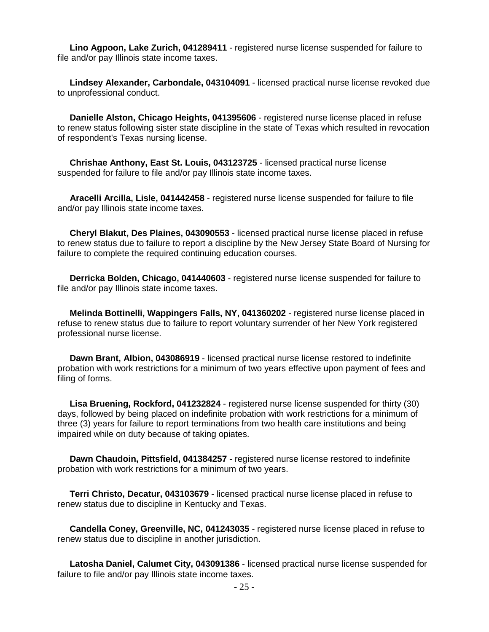**Lino Agpoon, Lake Zurich, 041289411** - registered nurse license suspended for failure to file and/or pay Illinois state income taxes.

 **Lindsey Alexander, Carbondale, 043104091** - licensed practical nurse license revoked due to unprofessional conduct.

 **Danielle Alston, Chicago Heights, 041395606** - registered nurse license placed in refuse to renew status following sister state discipline in the state of Texas which resulted in revocation of respondent's Texas nursing license.

 **Chrishae Anthony, East St. Louis, 043123725** - licensed practical nurse license suspended for failure to file and/or pay Illinois state income taxes.

 **Aracelli Arcilla, Lisle, 041442458** - registered nurse license suspended for failure to file and/or pay Illinois state income taxes.

 **Cheryl Blakut, Des Plaines, 043090553** - licensed practical nurse license placed in refuse to renew status due to failure to report a discipline by the New Jersey State Board of Nursing for failure to complete the required continuing education courses.

 **Derricka Bolden, Chicago, 041440603** - registered nurse license suspended for failure to file and/or pay Illinois state income taxes.

 **Melinda Bottinelli, Wappingers Falls, NY, 041360202** - registered nurse license placed in refuse to renew status due to failure to report voluntary surrender of her New York registered professional nurse license.

 **Dawn Brant, Albion, 043086919** - licensed practical nurse license restored to indefinite probation with work restrictions for a minimum of two years effective upon payment of fees and filing of forms.

 **Lisa Bruening, Rockford, 041232824** - registered nurse license suspended for thirty (30) days, followed by being placed on indefinite probation with work restrictions for a minimum of three (3) years for failure to report terminations from two health care institutions and being impaired while on duty because of taking opiates.

 **Dawn Chaudoin, Pittsfield, 041384257** - registered nurse license restored to indefinite probation with work restrictions for a minimum of two years.

 **Terri Christo, Decatur, 043103679** - licensed practical nurse license placed in refuse to renew status due to discipline in Kentucky and Texas.

 **Candella Coney, Greenville, NC, 041243035** - registered nurse license placed in refuse to renew status due to discipline in another jurisdiction.

 **Latosha Daniel, Calumet City, 043091386** - licensed practical nurse license suspended for failure to file and/or pay Illinois state income taxes.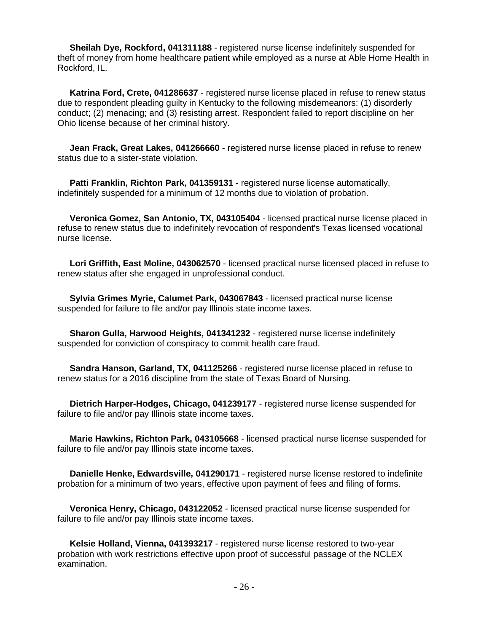**Sheilah Dye, Rockford, 041311188** - registered nurse license indefinitely suspended for theft of money from home healthcare patient while employed as a nurse at Able Home Health in Rockford, IL.

 **Katrina Ford, Crete, 041286637** - registered nurse license placed in refuse to renew status due to respondent pleading guilty in Kentucky to the following misdemeanors: (1) disorderly conduct; (2) menacing; and (3) resisting arrest. Respondent failed to report discipline on her Ohio license because of her criminal history.

 **Jean Frack, Great Lakes, 041266660** - registered nurse license placed in refuse to renew status due to a sister-state violation.

 **Patti Franklin, Richton Park, 041359131** - registered nurse license automatically, indefinitely suspended for a minimum of 12 months due to violation of probation.

 **Veronica Gomez, San Antonio, TX, 043105404** - licensed practical nurse license placed in refuse to renew status due to indefinitely revocation of respondent's Texas licensed vocational nurse license.

 **Lori Griffith, East Moline, 043062570** - licensed practical nurse licensed placed in refuse to renew status after she engaged in unprofessional conduct.

 **Sylvia Grimes Myrie, Calumet Park, 043067843** - licensed practical nurse license suspended for failure to file and/or pay Illinois state income taxes.

 **Sharon Gulla, Harwood Heights, 041341232** - registered nurse license indefinitely suspended for conviction of conspiracy to commit health care fraud.

 **Sandra Hanson, Garland, TX, 041125266** - registered nurse license placed in refuse to renew status for a 2016 discipline from the state of Texas Board of Nursing.

 **Dietrich Harper-Hodges, Chicago, 041239177** - registered nurse license suspended for failure to file and/or pay Illinois state income taxes.

 **Marie Hawkins, Richton Park, 043105668** - licensed practical nurse license suspended for failure to file and/or pay Illinois state income taxes.

 **Danielle Henke, Edwardsville, 041290171** - registered nurse license restored to indefinite probation for a minimum of two years, effective upon payment of fees and filing of forms.

 **Veronica Henry, Chicago, 043122052** - licensed practical nurse license suspended for failure to file and/or pay Illinois state income taxes.

 **Kelsie Holland, Vienna, 041393217** - registered nurse license restored to two-year probation with work restrictions effective upon proof of successful passage of the NCLEX examination.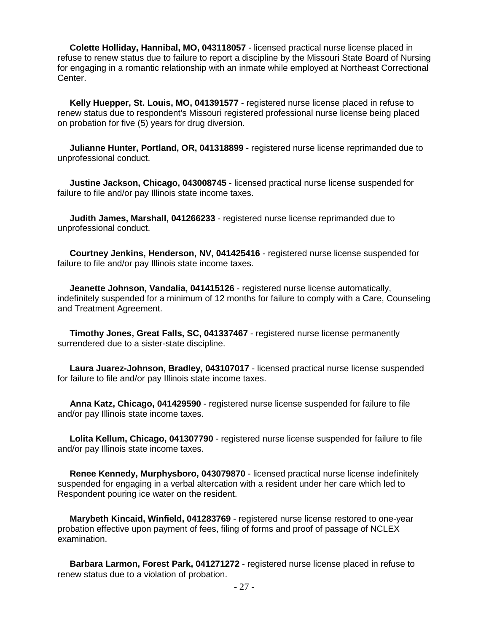**Colette Holliday, Hannibal, MO, 043118057** - licensed practical nurse license placed in refuse to renew status due to failure to report a discipline by the Missouri State Board of Nursing for engaging in a romantic relationship with an inmate while employed at Northeast Correctional Center.

 **Kelly Huepper, St. Louis, MO, 041391577** - registered nurse license placed in refuse to renew status due to respondent's Missouri registered professional nurse license being placed on probation for five (5) years for drug diversion.

 **Julianne Hunter, Portland, OR, 041318899** - registered nurse license reprimanded due to unprofessional conduct.

 **Justine Jackson, Chicago, 043008745** - licensed practical nurse license suspended for failure to file and/or pay Illinois state income taxes.

 **Judith James, Marshall, 041266233** - registered nurse license reprimanded due to unprofessional conduct.

 **Courtney Jenkins, Henderson, NV, 041425416** - registered nurse license suspended for failure to file and/or pay Illinois state income taxes.

 **Jeanette Johnson, Vandalia, 041415126** - registered nurse license automatically, indefinitely suspended for a minimum of 12 months for failure to comply with a Care, Counseling and Treatment Agreement.

 **Timothy Jones, Great Falls, SC, 041337467** - registered nurse license permanently surrendered due to a sister-state discipline.

 **Laura Juarez-Johnson, Bradley, 043107017** - licensed practical nurse license suspended for failure to file and/or pay Illinois state income taxes.

 **Anna Katz, Chicago, 041429590** - registered nurse license suspended for failure to file and/or pay Illinois state income taxes.

 **Lolita Kellum, Chicago, 041307790** - registered nurse license suspended for failure to file and/or pay Illinois state income taxes.

 **Renee Kennedy, Murphysboro, 043079870** - licensed practical nurse license indefinitely suspended for engaging in a verbal altercation with a resident under her care which led to Respondent pouring ice water on the resident.

 **Marybeth Kincaid, Winfield, 041283769** - registered nurse license restored to one-year probation effective upon payment of fees, filing of forms and proof of passage of NCLEX examination.

 **Barbara Larmon, Forest Park, 041271272** - registered nurse license placed in refuse to renew status due to a violation of probation.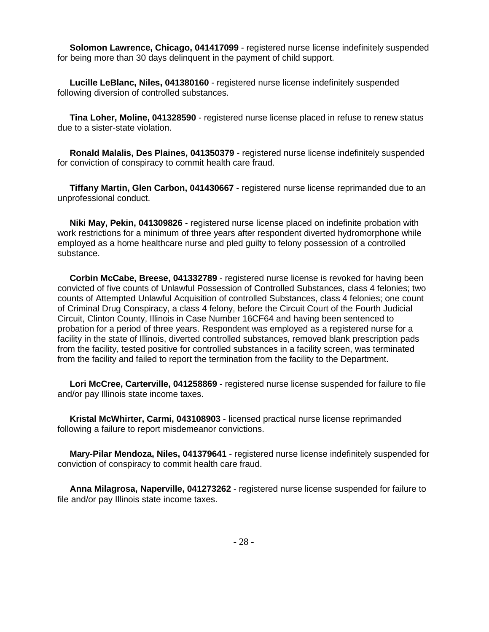**Solomon Lawrence, Chicago, 041417099** - registered nurse license indefinitely suspended for being more than 30 days delinquent in the payment of child support.

**Lucille LeBlanc, Niles, 041380160** - registered nurse license indefinitely suspended following diversion of controlled substances.

**Tina Loher, Moline, 041328590** - registered nurse license placed in refuse to renew status due to a sister-state violation.

**Ronald Malalis, Des Plaines, 041350379** - registered nurse license indefinitely suspended for conviction of conspiracy to commit health care fraud.

**Tiffany Martin, Glen Carbon, 041430667** - registered nurse license reprimanded due to an unprofessional conduct.

**Niki May, Pekin, 041309826** - registered nurse license placed on indefinite probation with work restrictions for a minimum of three years after respondent diverted hydromorphone while employed as a home healthcare nurse and pled guilty to felony possession of a controlled substance.

**Corbin McCabe, Breese, 041332789** - registered nurse license is revoked for having been convicted of five counts of Unlawful Possession of Controlled Substances, class 4 felonies; two counts of Attempted Unlawful Acquisition of controlled Substances, class 4 felonies; one count of Criminal Drug Conspiracy, a class 4 felony, before the Circuit Court of the Fourth Judicial Circuit, Clinton County, Illinois in Case Number 16CF64 and having been sentenced to probation for a period of three years. Respondent was employed as a registered nurse for a facility in the state of Illinois, diverted controlled substances, removed blank prescription pads from the facility, tested positive for controlled substances in a facility screen, was terminated from the facility and failed to report the termination from the facility to the Department.

**Lori McCree, Carterville, 041258869** - registered nurse license suspended for failure to file and/or pay Illinois state income taxes.

**Kristal McWhirter, Carmi, 043108903** - licensed practical nurse license reprimanded following a failure to report misdemeanor convictions.

**Mary-Pilar Mendoza, Niles, 041379641** - registered nurse license indefinitely suspended for conviction of conspiracy to commit health care fraud.

**Anna Milagrosa, Naperville, 041273262** - registered nurse license suspended for failure to file and/or pay Illinois state income taxes.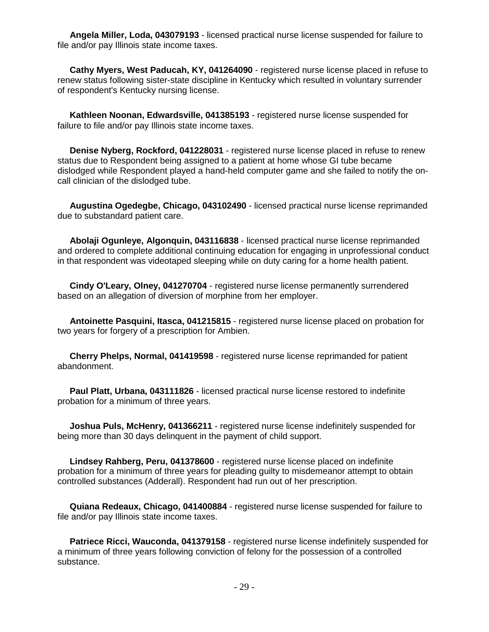**Angela Miller, Loda, 043079193** - licensed practical nurse license suspended for failure to file and/or pay Illinois state income taxes.

 **Cathy Myers, West Paducah, KY, 041264090** - registered nurse license placed in refuse to renew status following sister-state discipline in Kentucky which resulted in voluntary surrender of respondent's Kentucky nursing license.

 **Kathleen Noonan, Edwardsville, 041385193** - registered nurse license suspended for failure to file and/or pay Illinois state income taxes.

 **Denise Nyberg, Rockford, 041228031** - registered nurse license placed in refuse to renew status due to Respondent being assigned to a patient at home whose GI tube became dislodged while Respondent played a hand-held computer game and she failed to notify the oncall clinician of the dislodged tube.

 **Augustina Ogedegbe, Chicago, 043102490** - licensed practical nurse license reprimanded due to substandard patient care.

 **Abolaji Ogunleye, Algonquin, 043116838** - licensed practical nurse license reprimanded and ordered to complete additional continuing education for engaging in unprofessional conduct in that respondent was videotaped sleeping while on duty caring for a home health patient.

 **Cindy O'Leary, Olney, 041270704** - registered nurse license permanently surrendered based on an allegation of diversion of morphine from her employer.

 **Antoinette Pasquini, Itasca, 041215815** - registered nurse license placed on probation for two years for forgery of a prescription for Ambien.

 **Cherry Phelps, Normal, 041419598** - registered nurse license reprimanded for patient abandonment.

 **Paul Platt, Urbana, 043111826** - licensed practical nurse license restored to indefinite probation for a minimum of three years.

 **Joshua Puls, McHenry, 041366211** - registered nurse license indefinitely suspended for being more than 30 days delinquent in the payment of child support.

 **Lindsey Rahberg, Peru, 041378600** - registered nurse license placed on indefinite probation for a minimum of three years for pleading guilty to misdemeanor attempt to obtain controlled substances (Adderall). Respondent had run out of her prescription.

 **Quiana Redeaux, Chicago, 041400884** - registered nurse license suspended for failure to file and/or pay Illinois state income taxes.

 **Patriece Ricci, Wauconda, 041379158** - registered nurse license indefinitely suspended for a minimum of three years following conviction of felony for the possession of a controlled substance.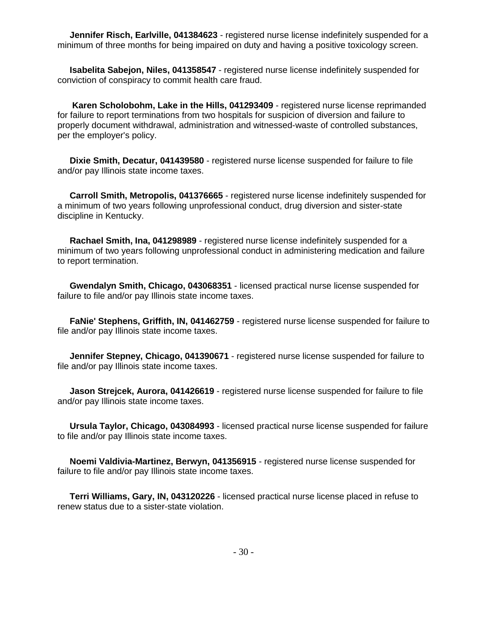**Jennifer Risch, Earlville, 041384623** - registered nurse license indefinitely suspended for a minimum of three months for being impaired on duty and having a positive toxicology screen.

**Isabelita Sabejon, Niles, 041358547** - registered nurse license indefinitely suspended for conviction of conspiracy to commit health care fraud.

**Karen Scholobohm, Lake in the Hills, 041293409** - registered nurse license reprimanded for failure to report terminations from two hospitals for suspicion of diversion and failure to properly document withdrawal, administration and witnessed-waste of controlled substances, per the employer's policy.

**Dixie Smith, Decatur, 041439580** - registered nurse license suspended for failure to file and/or pay Illinois state income taxes.

**Carroll Smith, Metropolis, 041376665** - registered nurse license indefinitely suspended for a minimum of two years following unprofessional conduct, drug diversion and sister-state discipline in Kentucky.

**Rachael Smith, Ina, 041298989** - registered nurse license indefinitely suspended for a minimum of two years following unprofessional conduct in administering medication and failure to report termination.

**Gwendalyn Smith, Chicago, 043068351** - licensed practical nurse license suspended for failure to file and/or pay Illinois state income taxes.

**FaNie' Stephens, Griffith, IN, 041462759** - registered nurse license suspended for failure to file and/or pay Illinois state income taxes.

**Jennifer Stepney, Chicago, 041390671** - registered nurse license suspended for failure to file and/or pay Illinois state income taxes.

**Jason Strejcek, Aurora, 041426619** - registered nurse license suspended for failure to file and/or pay Illinois state income taxes.

**Ursula Taylor, Chicago, 043084993** - licensed practical nurse license suspended for failure to file and/or pay Illinois state income taxes.

**Noemi Valdivia-Martinez, Berwyn, 041356915** - registered nurse license suspended for failure to file and/or pay Illinois state income taxes.

**Terri Williams, Gary, IN, 043120226** - licensed practical nurse license placed in refuse to renew status due to a sister-state violation.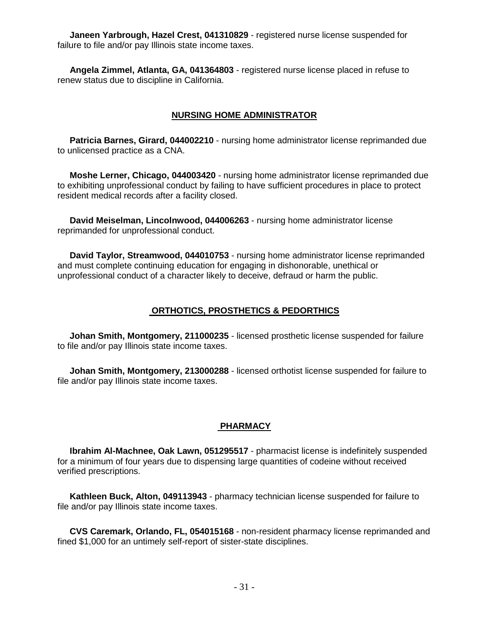**Janeen Yarbrough, Hazel Crest, 041310829** - registered nurse license suspended for failure to file and/or pay Illinois state income taxes.

 **Angela Zimmel, Atlanta, GA, 041364803** - registered nurse license placed in refuse to renew status due to discipline in California.

#### **NURSING HOME ADMINISTRATOR**

 **Patricia Barnes, Girard, 044002210** - nursing home administrator license reprimanded due to unlicensed practice as a CNA.

 **Moshe Lerner, Chicago, 044003420** - nursing home administrator license reprimanded due to exhibiting unprofessional conduct by failing to have sufficient procedures in place to protect resident medical records after a facility closed.

 **David Meiselman, Lincolnwood, 044006263** - nursing home administrator license reprimanded for unprofessional conduct.

 **David Taylor, Streamwood, 044010753** - nursing home administrator license reprimanded and must complete continuing education for engaging in dishonorable, unethical or unprofessional conduct of a character likely to deceive, defraud or harm the public.

#### **ORTHOTICS, PROSTHETICS & PEDORTHICS**

 **Johan Smith, Montgomery, 211000235** - licensed prosthetic license suspended for failure to file and/or pay Illinois state income taxes.

 **Johan Smith, Montgomery, 213000288** - licensed orthotist license suspended for failure to file and/or pay Illinois state income taxes.

#### **PHARMACY**

 **Ibrahim Al-Machnee, Oak Lawn, 051295517** - pharmacist license is indefinitely suspended for a minimum of four years due to dispensing large quantities of codeine without received verified prescriptions.

 **Kathleen Buck, Alton, 049113943** - pharmacy technician license suspended for failure to file and/or pay Illinois state income taxes.

 **CVS Caremark, Orlando, FL, 054015168** - non-resident pharmacy license reprimanded and fined \$1,000 for an untimely self-report of sister-state disciplines.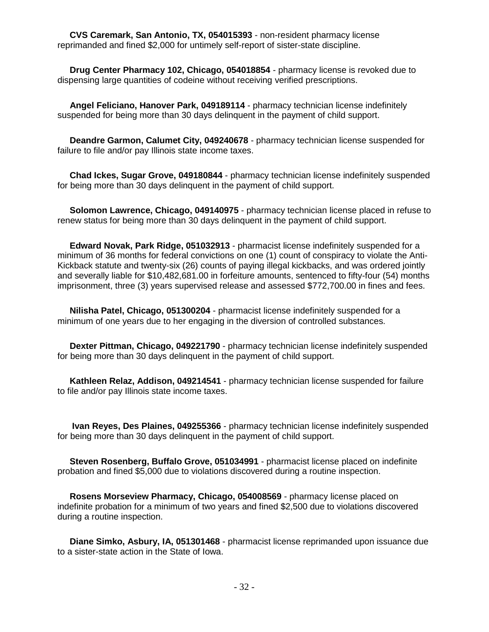**CVS Caremark, San Antonio, TX, 054015393** - non-resident pharmacy license reprimanded and fined \$2,000 for untimely self-report of sister-state discipline.

 **Drug Center Pharmacy 102, Chicago, 054018854** - pharmacy license is revoked due to dispensing large quantities of codeine without receiving verified prescriptions.

 **Angel Feliciano, Hanover Park, 049189114** - pharmacy technician license indefinitely suspended for being more than 30 days delinquent in the payment of child support.

 **Deandre Garmon, Calumet City, 049240678** - pharmacy technician license suspended for failure to file and/or pay Illinois state income taxes.

 **Chad Ickes, Sugar Grove, 049180844** - pharmacy technician license indefinitely suspended for being more than 30 days delinquent in the payment of child support.

 **Solomon Lawrence, Chicago, 049140975** - pharmacy technician license placed in refuse to renew status for being more than 30 days delinquent in the payment of child support.

 **Edward Novak, Park Ridge, 051032913** - pharmacist license indefinitely suspended for a minimum of 36 months for federal convictions on one (1) count of conspiracy to violate the Anti-Kickback statute and twenty-six (26) counts of paying illegal kickbacks, and was ordered jointly and severally liable for \$10,482,681.00 in forfeiture amounts, sentenced to fifty-four (54) months imprisonment, three (3) years supervised release and assessed \$772,700.00 in fines and fees.

 **Nilisha Patel, Chicago, 051300204** - pharmacist license indefinitely suspended for a minimum of one years due to her engaging in the diversion of controlled substances.

 **Dexter Pittman, Chicago, 049221790** - pharmacy technician license indefinitely suspended for being more than 30 days delinquent in the payment of child support.

 **Kathleen Relaz, Addison, 049214541** - pharmacy technician license suspended for failure to file and/or pay Illinois state income taxes.

 **Ivan Reyes, Des Plaines, 049255366** - pharmacy technician license indefinitely suspended for being more than 30 days delinquent in the payment of child support.

 **Steven Rosenberg, Buffalo Grove, 051034991** - pharmacist license placed on indefinite probation and fined \$5,000 due to violations discovered during a routine inspection.

 **Rosens Morseview Pharmacy, Chicago, 054008569** - pharmacy license placed on indefinite probation for a minimum of two years and fined \$2,500 due to violations discovered during a routine inspection.

 **Diane Simko, Asbury, IA, 051301468** - pharmacist license reprimanded upon issuance due to a sister-state action in the State of Iowa.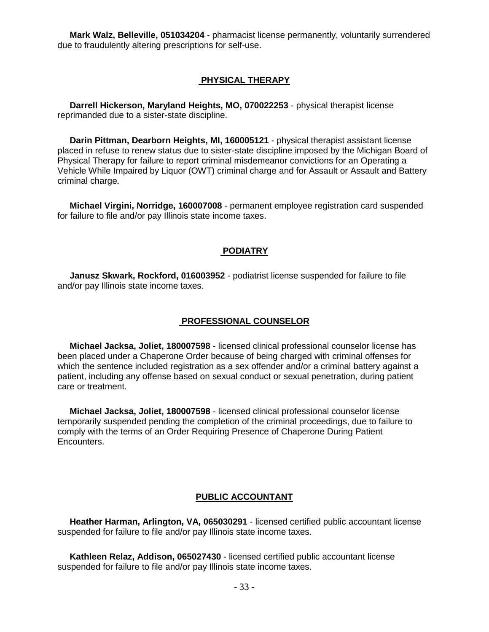**Mark Walz, Belleville, 051034204** - pharmacist license permanently, voluntarily surrendered due to fraudulently altering prescriptions for self-use.

#### **PHYSICAL THERAPY**

 **Darrell Hickerson, Maryland Heights, MO, 070022253** - physical therapist license reprimanded due to a sister-state discipline.

 **Darin Pittman, Dearborn Heights, MI, 160005121** - physical therapist assistant license placed in refuse to renew status due to sister-state discipline imposed by the Michigan Board of Physical Therapy for failure to report criminal misdemeanor convictions for an Operating a Vehicle While Impaired by Liquor (OWT) criminal charge and for Assault or Assault and Battery criminal charge.

 **Michael Virgini, Norridge, 160007008** - permanent employee registration card suspended for failure to file and/or pay Illinois state income taxes.

#### **PODIATRY**

 **Janusz Skwark, Rockford, 016003952** - podiatrist license suspended for failure to file and/or pay Illinois state income taxes.

#### **PROFESSIONAL COUNSELOR**

 **Michael Jacksa, Joliet, 180007598** - licensed clinical professional counselor license has been placed under a Chaperone Order because of being charged with criminal offenses for which the sentence included registration as a sex offender and/or a criminal battery against a patient, including any offense based on sexual conduct or sexual penetration, during patient care or treatment.

 **Michael Jacksa, Joliet, 180007598** - licensed clinical professional counselor license temporarily suspended pending the completion of the criminal proceedings, due to failure to comply with the terms of an Order Requiring Presence of Chaperone During Patient Encounters.

#### **PUBLIC ACCOUNTANT**

 **Heather Harman, Arlington, VA, 065030291** - licensed certified public accountant license suspended for failure to file and/or pay Illinois state income taxes.

 **Kathleen Relaz, Addison, 065027430** - licensed certified public accountant license suspended for failure to file and/or pay Illinois state income taxes.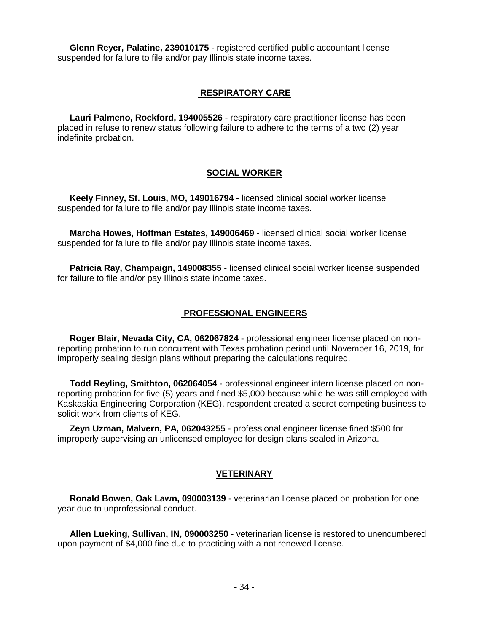**Glenn Reyer, Palatine, 239010175** - registered certified public accountant license suspended for failure to file and/or pay Illinois state income taxes.

#### **RESPIRATORY CARE**

 **Lauri Palmeno, Rockford, 194005526** - respiratory care practitioner license has been placed in refuse to renew status following failure to adhere to the terms of a two (2) year indefinite probation.

#### **SOCIAL WORKER**

 **Keely Finney, St. Louis, MO, 149016794** - licensed clinical social worker license suspended for failure to file and/or pay Illinois state income taxes.

 **Marcha Howes, Hoffman Estates, 149006469** - licensed clinical social worker license suspended for failure to file and/or pay Illinois state income taxes.

 **Patricia Ray, Champaign, 149008355** - licensed clinical social worker license suspended for failure to file and/or pay Illinois state income taxes.

#### **PROFESSIONAL ENGINEERS**

 **Roger Blair, Nevada City, CA, 062067824** - professional engineer license placed on nonreporting probation to run concurrent with Texas probation period until November 16, 2019, for improperly sealing design plans without preparing the calculations required.

 **Todd Reyling, Smithton, 062064054** - professional engineer intern license placed on nonreporting probation for five (5) years and fined \$5,000 because while he was still employed with Kaskaskia Engineering Corporation (KEG), respondent created a secret competing business to solicit work from clients of KEG.

 **Zeyn Uzman, Malvern, PA, 062043255** - professional engineer license fined \$500 for improperly supervising an unlicensed employee for design plans sealed in Arizona.

#### **VETERINARY**

 **Ronald Bowen, Oak Lawn, 090003139** - veterinarian license placed on probation for one year due to unprofessional conduct.

 **Allen Lueking, Sullivan, IN, 090003250** - veterinarian license is restored to unencumbered upon payment of \$4,000 fine due to practicing with a not renewed license.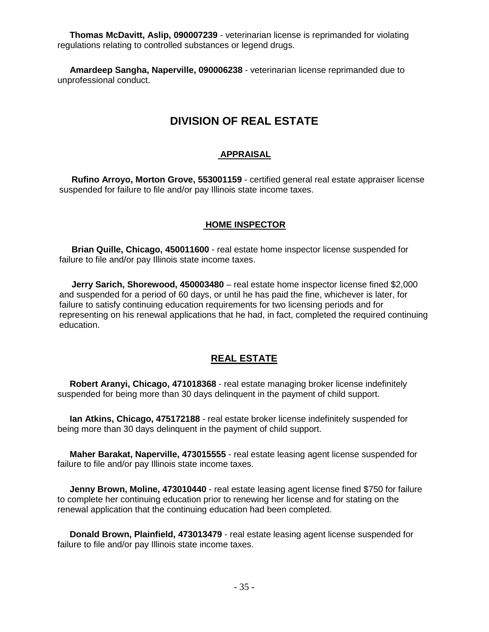**Thomas McDavitt, Aslip, 090007239** - veterinarian license is reprimanded for violating regulations relating to controlled substances or legend drugs.

 **Amardeep Sangha, Naperville, 090006238** - veterinarian license reprimanded due to unprofessional conduct.

## **DIVISION OF REAL ESTATE**

#### **APPRAISAL**

 **Rufino Arroyo, Morton Grove, 553001159** - certified general real estate appraiser license suspended for failure to file and/or pay Illinois state income taxes.

#### **HOME INSPECTOR**

 **Brian Quille, Chicago, 450011600** - real estate home inspector license suspended for failure to file and/or pay Illinois state income taxes.

 **Jerry Sarich, Shorewood, 450003480** – real estate home inspector license fined \$2,000 and suspended for a period of 60 days, or until he has paid the fine, whichever is later, for failure to satisfy continuing education requirements for two licensing periods and for representing on his renewal applications that he had, in fact, completed the required continuing education.

#### **REAL ESTATE**

 **Robert Aranyi, Chicago, 471018368** - real estate managing broker license indefinitely suspended for being more than 30 days delinquent in the payment of child support.

 **Ian Atkins, Chicago, 475172188** - real estate broker license indefinitely suspended for being more than 30 days delinquent in the payment of child support.

 **Maher Barakat, Naperville, 473015555** - real estate leasing agent license suspended for failure to file and/or pay Illinois state income taxes.

 **Jenny Brown, Moline, 473010440** - real estate leasing agent license fined \$750 for failure to complete her continuing education prior to renewing her license and for stating on the renewal application that the continuing education had been completed.

 **Donald Brown, Plainfield, 473013479** - real estate leasing agent license suspended for failure to file and/or pay Illinois state income taxes.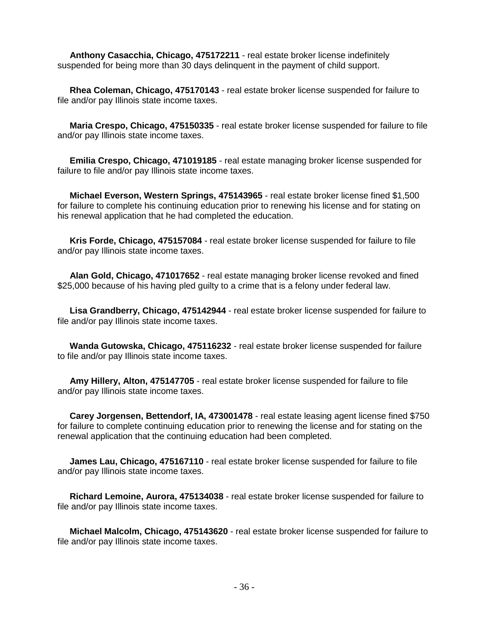**Anthony Casacchia, Chicago, 475172211** - real estate broker license indefinitely suspended for being more than 30 days delinquent in the payment of child support.

 **Rhea Coleman, Chicago, 475170143** - real estate broker license suspended for failure to file and/or pay Illinois state income taxes.

 **Maria Crespo, Chicago, 475150335** - real estate broker license suspended for failure to file and/or pay Illinois state income taxes.

 **Emilia Crespo, Chicago, 471019185** - real estate managing broker license suspended for failure to file and/or pay Illinois state income taxes.

 **Michael Everson, Western Springs, 475143965** - real estate broker license fined \$1,500 for failure to complete his continuing education prior to renewing his license and for stating on his renewal application that he had completed the education.

 **Kris Forde, Chicago, 475157084** - real estate broker license suspended for failure to file and/or pay Illinois state income taxes.

 **Alan Gold, Chicago, 471017652** - real estate managing broker license revoked and fined \$25,000 because of his having pled guilty to a crime that is a felony under federal law.

 **Lisa Grandberry, Chicago, 475142944** - real estate broker license suspended for failure to file and/or pay Illinois state income taxes.

 **Wanda Gutowska, Chicago, 475116232** - real estate broker license suspended for failure to file and/or pay Illinois state income taxes.

 **Amy Hillery, Alton, 475147705** - real estate broker license suspended for failure to file and/or pay Illinois state income taxes.

 **Carey Jorgensen, Bettendorf, IA, 473001478** - real estate leasing agent license fined \$750 for failure to complete continuing education prior to renewing the license and for stating on the renewal application that the continuing education had been completed.

 **James Lau, Chicago, 475167110** - real estate broker license suspended for failure to file and/or pay Illinois state income taxes.

 **Richard Lemoine, Aurora, 475134038** - real estate broker license suspended for failure to file and/or pay Illinois state income taxes.

 **Michael Malcolm, Chicago, 475143620** - real estate broker license suspended for failure to file and/or pay Illinois state income taxes.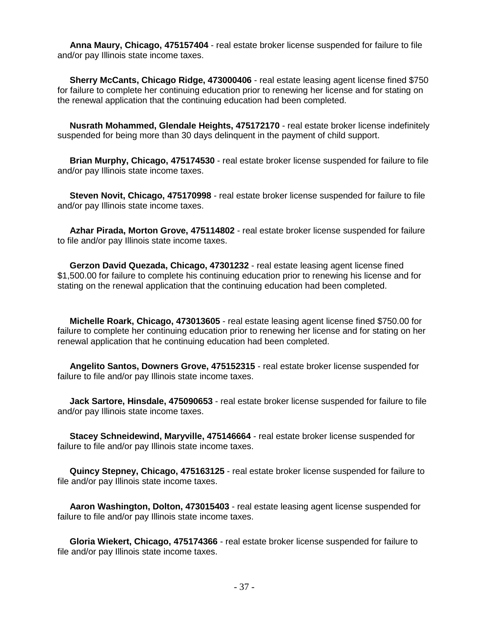**Anna Maury, Chicago, 475157404** - real estate broker license suspended for failure to file and/or pay Illinois state income taxes.

 **Sherry McCants, Chicago Ridge, 473000406** - real estate leasing agent license fined \$750 for failure to complete her continuing education prior to renewing her license and for stating on the renewal application that the continuing education had been completed.

 **Nusrath Mohammed, Glendale Heights, 475172170** - real estate broker license indefinitely suspended for being more than 30 days delinquent in the payment of child support.

 **Brian Murphy, Chicago, 475174530** - real estate broker license suspended for failure to file and/or pay Illinois state income taxes.

 **Steven Novit, Chicago, 475170998** - real estate broker license suspended for failure to file and/or pay Illinois state income taxes.

 **Azhar Pirada, Morton Grove, 475114802** - real estate broker license suspended for failure to file and/or pay Illinois state income taxes.

 **Gerzon David Quezada, Chicago, 47301232** - real estate leasing agent license fined \$1,500.00 for failure to complete his continuing education prior to renewing his license and for stating on the renewal application that the continuing education had been completed.

 **Michelle Roark, Chicago, 473013605** - real estate leasing agent license fined \$750.00 for failure to complete her continuing education prior to renewing her license and for stating on her renewal application that he continuing education had been completed.

 **Angelito Santos, Downers Grove, 475152315** - real estate broker license suspended for failure to file and/or pay Illinois state income taxes.

 **Jack Sartore, Hinsdale, 475090653** - real estate broker license suspended for failure to file and/or pay Illinois state income taxes.

 **Stacey Schneidewind, Maryville, 475146664** - real estate broker license suspended for failure to file and/or pay Illinois state income taxes.

 **Quincy Stepney, Chicago, 475163125** - real estate broker license suspended for failure to file and/or pay Illinois state income taxes.

 **Aaron Washington, Dolton, 473015403** - real estate leasing agent license suspended for failure to file and/or pay Illinois state income taxes.

 **Gloria Wiekert, Chicago, 475174366** - real estate broker license suspended for failure to file and/or pay Illinois state income taxes.